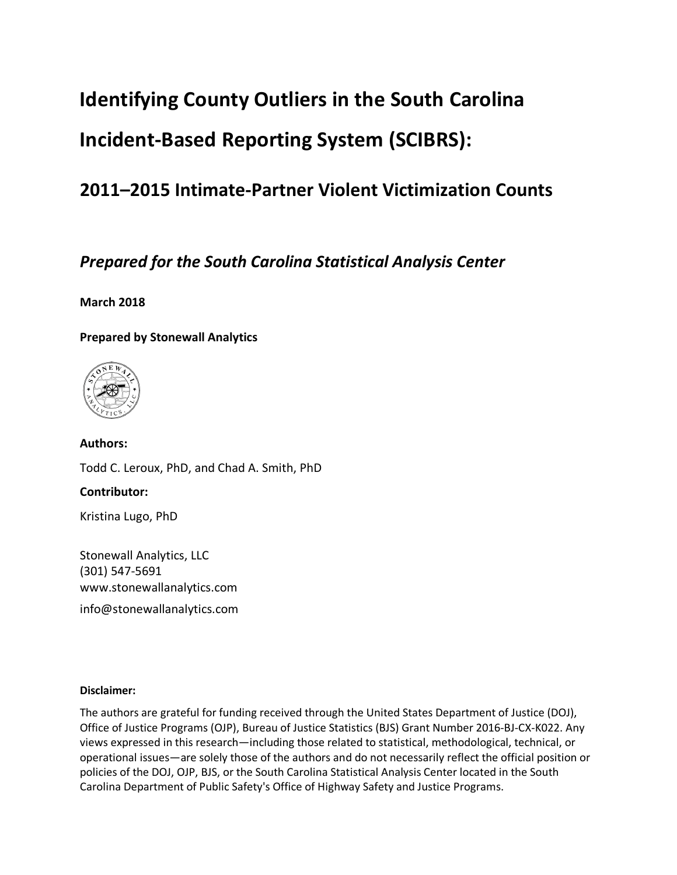# **Identifying County Outliers in the South Carolina Incident-Based Reporting System (SCIBRS):**

# **2011–2015 Intimate-Partner Violent Victimization Counts**

# *Prepared for the South Carolina Statistical Analysis Center*

# **March 2018**

# **Prepared by Stonewall Analytics**



**Authors:** Todd C. Leroux, PhD, and Chad A. Smith, PhD

# **Contributor:**

Kristina Lugo, PhD

Stonewall Analytics, LLC (301) 547-5691 www.stonewallanalytics.com

info@stonewallanalytics.com

# **Disclaimer:**

The authors are grateful for funding received through the United States Department of Justice (DOJ), Office of Justice Programs (OJP), Bureau of Justice Statistics (BJS) Grant Number 2016-BJ-CX-K022. Any views expressed in this research—including those related to statistical, methodological, technical, or operational issues—are solely those of the authors and do not necessarily reflect the official position or policies of the DOJ, OJP, BJS, or the South Carolina Statistical Analysis Center located in the South Carolina Department of Public Safety's Office of Highway Safety and Justice Programs.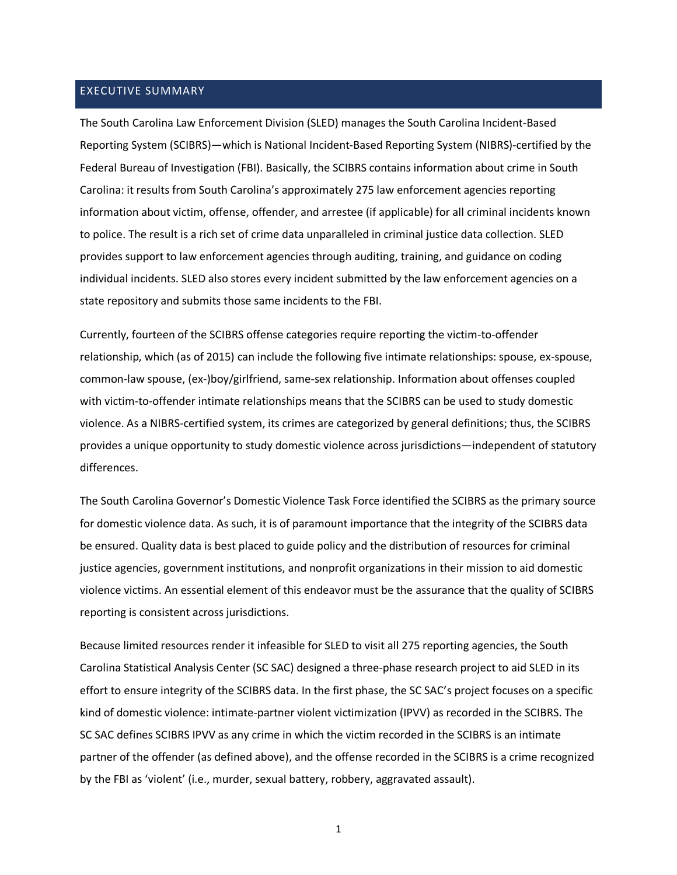# EXECUTIVE SUMMARY

The South Carolina Law Enforcement Division (SLED) manages the South Carolina Incident-Based Reporting System (SCIBRS)—which is National Incident-Based Reporting System (NIBRS)-certified by the Federal Bureau of Investigation (FBI). Basically, the SCIBRS contains information about crime in South Carolina: it results from South Carolina's approximately 275 law enforcement agencies reporting information about victim, offense, offender, and arrestee (if applicable) for all criminal incidents known to police. The result is a rich set of crime data unparalleled in criminal justice data collection. SLED provides support to law enforcement agencies through auditing, training, and guidance on coding individual incidents. SLED also stores every incident submitted by the law enforcement agencies on a state repository and submits those same incidents to the FBI.

Currently, fourteen of the SCIBRS offense categories require reporting the victim-to-offender relationship, which (as of 2015) can include the following five intimate relationships: spouse, ex-spouse, common-law spouse, (ex-)boy/girlfriend, same-sex relationship. Information about offenses coupled with victim-to-offender intimate relationships means that the SCIBRS can be used to study domestic violence. As a NIBRS-certified system, its crimes are categorized by general definitions; thus, the SCIBRS provides a unique opportunity to study domestic violence across jurisdictions—independent of statutory differences.

The South Carolina Governor's Domestic Violence Task Force identified the SCIBRS as the primary source for domestic violence data. As such, it is of paramount importance that the integrity of the SCIBRS data be ensured. Quality data is best placed to guide policy and the distribution of resources for criminal justice agencies, government institutions, and nonprofit organizations in their mission to aid domestic violence victims. An essential element of this endeavor must be the assurance that the quality of SCIBRS reporting is consistent across jurisdictions.

Because limited resources render it infeasible for SLED to visit all 275 reporting agencies, the South Carolina Statistical Analysis Center (SC SAC) designed a three-phase research project to aid SLED in its effort to ensure integrity of the SCIBRS data. In the first phase, the SC SAC's project focuses on a specific kind of domestic violence: intimate-partner violent victimization (IPVV) as recorded in the SCIBRS. The SC SAC defines SCIBRS IPVV as any crime in which the victim recorded in the SCIBRS is an intimate partner of the offender (as defined above), and the offense recorded in the SCIBRS is a crime recognized by the FBI as 'violent' (i.e., murder, sexual battery, robbery, aggravated assault).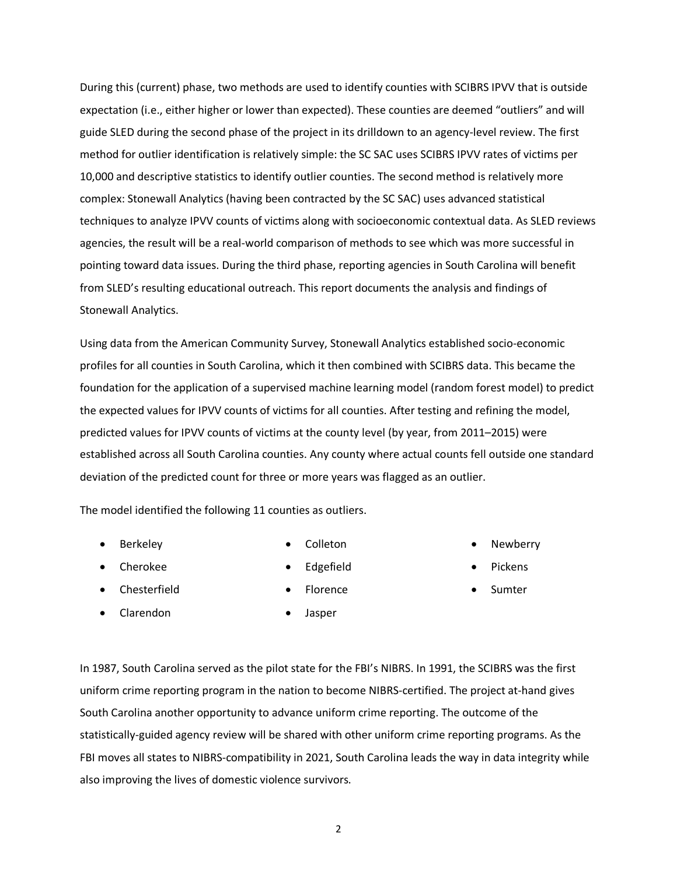During this (current) phase, two methods are used to identify counties with SCIBRS IPVV that is outside expectation (i.e., either higher or lower than expected). These counties are deemed "outliers" and will guide SLED during the second phase of the project in its drilldown to an agency-level review. The first method for outlier identification is relatively simple: the SC SAC uses SCIBRS IPVV rates of victims per 10,000 and descriptive statistics to identify outlier counties. The second method is relatively more complex: Stonewall Analytics (having been contracted by the SC SAC) uses advanced statistical techniques to analyze IPVV counts of victims along with socioeconomic contextual data. As SLED reviews agencies, the result will be a real-world comparison of methods to see which was more successful in pointing toward data issues. During the third phase, reporting agencies in South Carolina will benefit from SLED's resulting educational outreach. This report documents the analysis and findings of Stonewall Analytics.

Using data from the American Community Survey, Stonewall Analytics established socio-economic profiles for all counties in South Carolina, which it then combined with SCIBRS data. This became the foundation for the application of a supervised machine learning model (random forest model) to predict the expected values for IPVV counts of victims for all counties. After testing and refining the model, predicted values for IPVV counts of victims at the county level (by year, from 2011–2015) were established across all South Carolina counties. Any county where actual counts fell outside one standard deviation of the predicted count for three or more years was flagged as an outlier.

The model identified the following 11 counties as outliers.

• Berkeley

• Colleton

• Cherokee

- 
- Edgefield

**Florence** 

• Chesterfield

• Pickens

**Newberry** 

**Sumter** 

• Clarendon

• Jasper

In 1987, South Carolina served as the pilot state for the FBI's NIBRS. In 1991, the SCIBRS was the first uniform crime reporting program in the nation to become NIBRS-certified. The project at-hand gives South Carolina another opportunity to advance uniform crime reporting. The outcome of the statistically-guided agency review will be shared with other uniform crime reporting programs. As the FBI moves all states to NIBRS-compatibility in 2021, South Carolina leads the way in data integrity while also improving the lives of domestic violence survivors.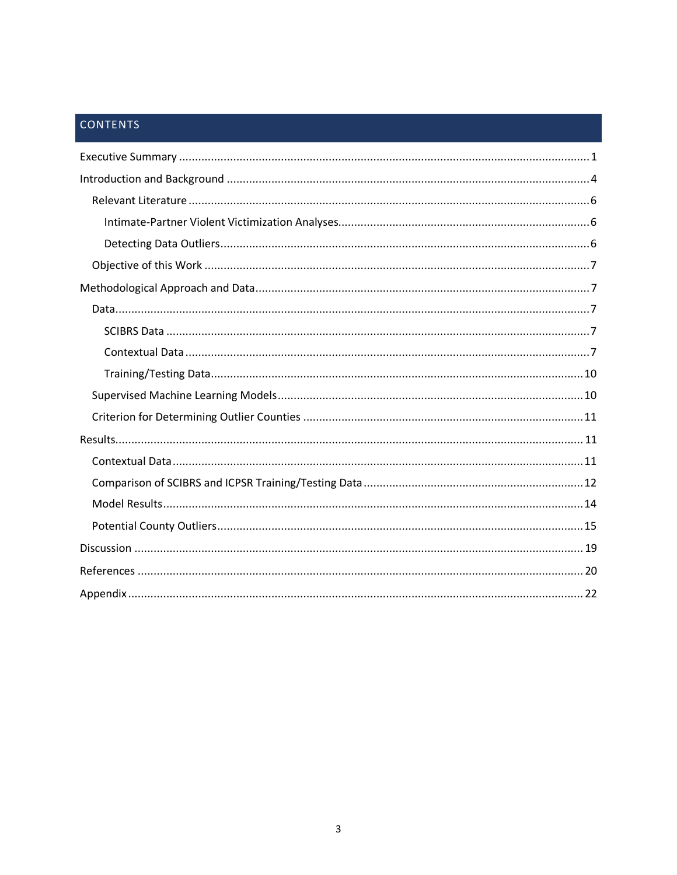# CONTENTS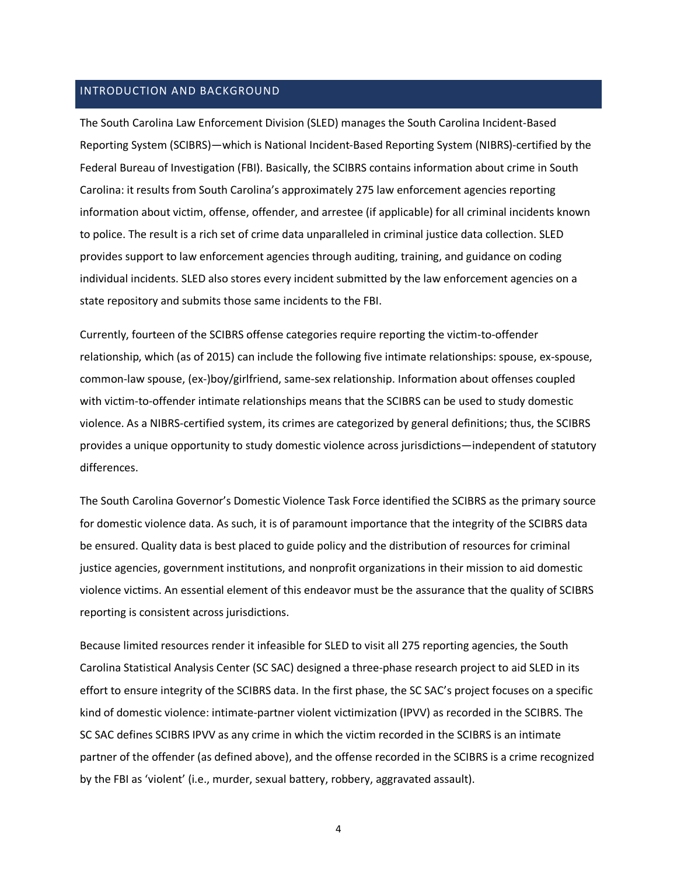### INTRODUCTION AND BACKGROUND

The South Carolina Law Enforcement Division (SLED) manages the South Carolina Incident-Based Reporting System (SCIBRS)—which is National Incident-Based Reporting System (NIBRS)-certified by the Federal Bureau of Investigation (FBI). Basically, the SCIBRS contains information about crime in South Carolina: it results from South Carolina's approximately 275 law enforcement agencies reporting information about victim, offense, offender, and arrestee (if applicable) for all criminal incidents known to police. The result is a rich set of crime data unparalleled in criminal justice data collection. SLED provides support to law enforcement agencies through auditing, training, and guidance on coding individual incidents. SLED also stores every incident submitted by the law enforcement agencies on a state repository and submits those same incidents to the FBI.

Currently, fourteen of the SCIBRS offense categories require reporting the victim-to-offender relationship, which (as of 2015) can include the following five intimate relationships: spouse, ex-spouse, common-law spouse, (ex-)boy/girlfriend, same-sex relationship. Information about offenses coupled with victim-to-offender intimate relationships means that the SCIBRS can be used to study domestic violence. As a NIBRS-certified system, its crimes are categorized by general definitions; thus, the SCIBRS provides a unique opportunity to study domestic violence across jurisdictions—independent of statutory differences.

The South Carolina Governor's Domestic Violence Task Force identified the SCIBRS as the primary source for domestic violence data. As such, it is of paramount importance that the integrity of the SCIBRS data be ensured. Quality data is best placed to guide policy and the distribution of resources for criminal justice agencies, government institutions, and nonprofit organizations in their mission to aid domestic violence victims. An essential element of this endeavor must be the assurance that the quality of SCIBRS reporting is consistent across jurisdictions.

Because limited resources render it infeasible for SLED to visit all 275 reporting agencies, the South Carolina Statistical Analysis Center (SC SAC) designed a three-phase research project to aid SLED in its effort to ensure integrity of the SCIBRS data. In the first phase, the SC SAC's project focuses on a specific kind of domestic violence: intimate-partner violent victimization (IPVV) as recorded in the SCIBRS. The SC SAC defines SCIBRS IPVV as any crime in which the victim recorded in the SCIBRS is an intimate partner of the offender (as defined above), and the offense recorded in the SCIBRS is a crime recognized by the FBI as 'violent' (i.e., murder, sexual battery, robbery, aggravated assault).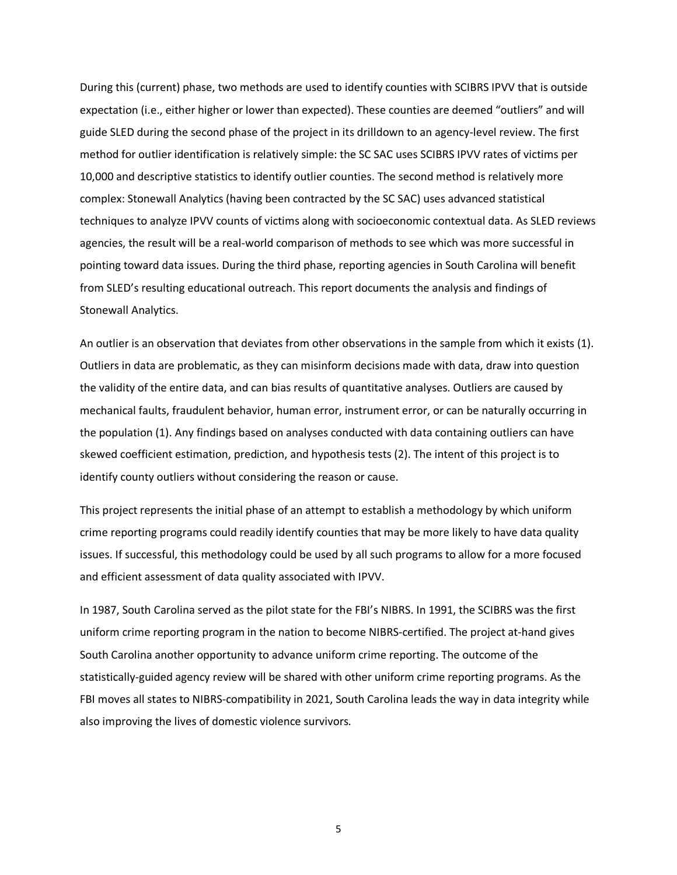During this (current) phase, two methods are used to identify counties with SCIBRS IPVV that is outside expectation (i.e., either higher or lower than expected). These counties are deemed "outliers" and will guide SLED during the second phase of the project in its drilldown to an agency-level review. The first method for outlier identification is relatively simple: the SC SAC uses SCIBRS IPVV rates of victims per 10,000 and descriptive statistics to identify outlier counties. The second method is relatively more complex: Stonewall Analytics (having been contracted by the SC SAC) uses advanced statistical techniques to analyze IPVV counts of victims along with socioeconomic contextual data. As SLED reviews agencies, the result will be a real-world comparison of methods to see which was more successful in pointing toward data issues. During the third phase, reporting agencies in South Carolina will benefit from SLED's resulting educational outreach. This report documents the analysis and findings of Stonewall Analytics.

An outlier is an observation that deviates from other observations in the sample from which it exists (1). Outliers in data are problematic, as they can misinform decisions made with data, draw into question the validity of the entire data, and can bias results of quantitative analyses. Outliers are caused by mechanical faults, fraudulent behavior, human error, instrument error, or can be naturally occurring in the population (1). Any findings based on analyses conducted with data containing outliers can have skewed coefficient estimation, prediction, and hypothesis tests (2). The intent of this project is to identify county outliers without considering the reason or cause.

This project represents the initial phase of an attempt to establish a methodology by which uniform crime reporting programs could readily identify counties that may be more likely to have data quality issues. If successful, this methodology could be used by all such programs to allow for a more focused and efficient assessment of data quality associated with IPVV.

In 1987, South Carolina served as the pilot state for the FBI's NIBRS. In 1991, the SCIBRS was the first uniform crime reporting program in the nation to become NIBRS-certified. The project at-hand gives South Carolina another opportunity to advance uniform crime reporting. The outcome of the statistically-guided agency review will be shared with other uniform crime reporting programs. As the FBI moves all states to NIBRS-compatibility in 2021, South Carolina leads the way in data integrity while also improving the lives of domestic violence survivors.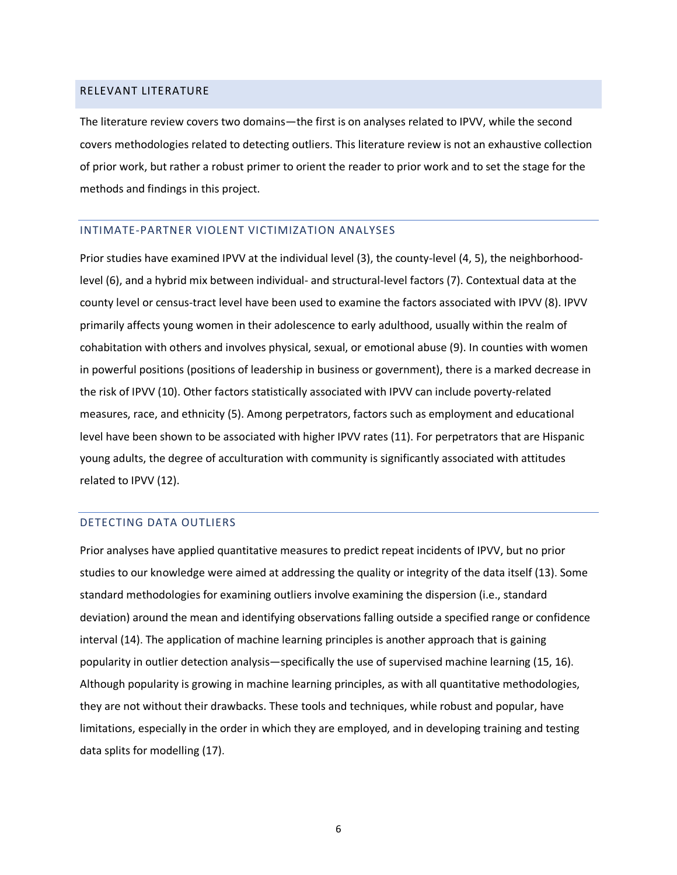#### RELEVANT LITERATURE

The literature review covers two domains—the first is on analyses related to IPVV, while the second covers methodologies related to detecting outliers. This literature review is not an exhaustive collection of prior work, but rather a robust primer to orient the reader to prior work and to set the stage for the methods and findings in this project.

#### INTIMATE-PARTNER VIOLENT VICTIMIZATION ANALYSES

Prior studies have examined IPVV at the individual level (3), the county-level (4, 5), the neighborhoodlevel (6), and a hybrid mix between individual- and structural-level factors (7). Contextual data at the county level or census-tract level have been used to examine the factors associated with IPVV (8). IPVV primarily affects young women in their adolescence to early adulthood, usually within the realm of cohabitation with others and involves physical, sexual, or emotional abuse (9). In counties with women in powerful positions (positions of leadership in business or government), there is a marked decrease in the risk of IPVV (10). Other factors statistically associated with IPVV can include poverty-related measures, race, and ethnicity (5). Among perpetrators, factors such as employment and educational level have been shown to be associated with higher IPVV rates (11). For perpetrators that are Hispanic young adults, the degree of acculturation with community is significantly associated with attitudes related to IPVV (12).

#### DETECTING DATA OUTLIERS

Prior analyses have applied quantitative measures to predict repeat incidents of IPVV, but no prior studies to our knowledge were aimed at addressing the quality or integrity of the data itself (13). Some standard methodologies for examining outliers involve examining the dispersion (i.e., standard deviation) around the mean and identifying observations falling outside a specified range or confidence interval (14). The application of machine learning principles is another approach that is gaining popularity in outlier detection analysis—specifically the use of supervised machine learning (15, 16). Although popularity is growing in machine learning principles, as with all quantitative methodologies, they are not without their drawbacks. These tools and techniques, while robust and popular, have limitations, especially in the order in which they are employed, and in developing training and testing data splits for modelling (17).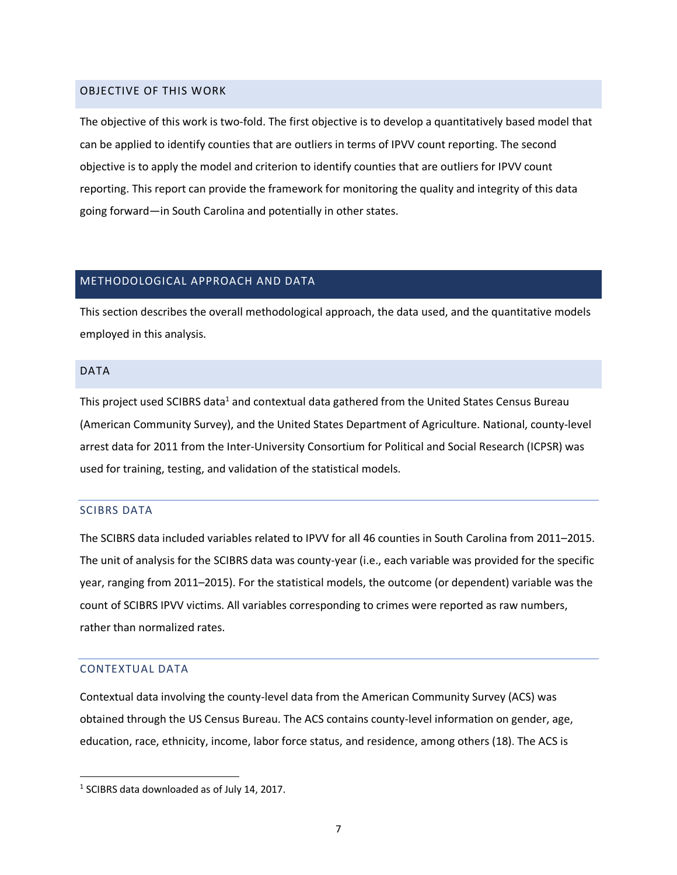#### OBJECTIVE OF THIS WORK

The objective of this work is two-fold. The first objective is to develop a quantitatively based model that can be applied to identify counties that are outliers in terms of IPVV count reporting. The second objective is to apply the model and criterion to identify counties that are outliers for IPVV count reporting. This report can provide the framework for monitoring the quality and integrity of this data going forward—in South Carolina and potentially in other states.

#### METHODOLOGICAL APPROACH AND DATA

This section describes the overall methodological approach, the data used, and the quantitative models employed in this analysis.

#### DATA

This project used SCIBRS data<sup>1</sup> and contextual data gathered from the United States Census Bureau (American Community Survey), and the United States Department of Agriculture. National, county-level arrest data for 2011 from the Inter-University Consortium for Political and Social Research (ICPSR) was used for training, testing, and validation of the statistical models.

#### SCIBRS DATA

The SCIBRS data included variables related to IPVV for all 46 counties in South Carolina from 2011–2015. The unit of analysis for the SCIBRS data was county-year (i.e., each variable was provided for the specific year, ranging from 2011–2015). For the statistical models, the outcome (or dependent) variable was the count of SCIBRS IPVV victims. All variables corresponding to crimes were reported as raw numbers, rather than normalized rates.

#### CONTEXTUAL DATA

Contextual data involving the county-level data from the American Community Survey (ACS) was obtained through the US Census Bureau. The ACS contains county-level information on gender, age, education, race, ethnicity, income, labor force status, and residence, among others (18). The ACS is

<sup>&</sup>lt;sup>1</sup> SCIBRS data downloaded as of July 14, 2017.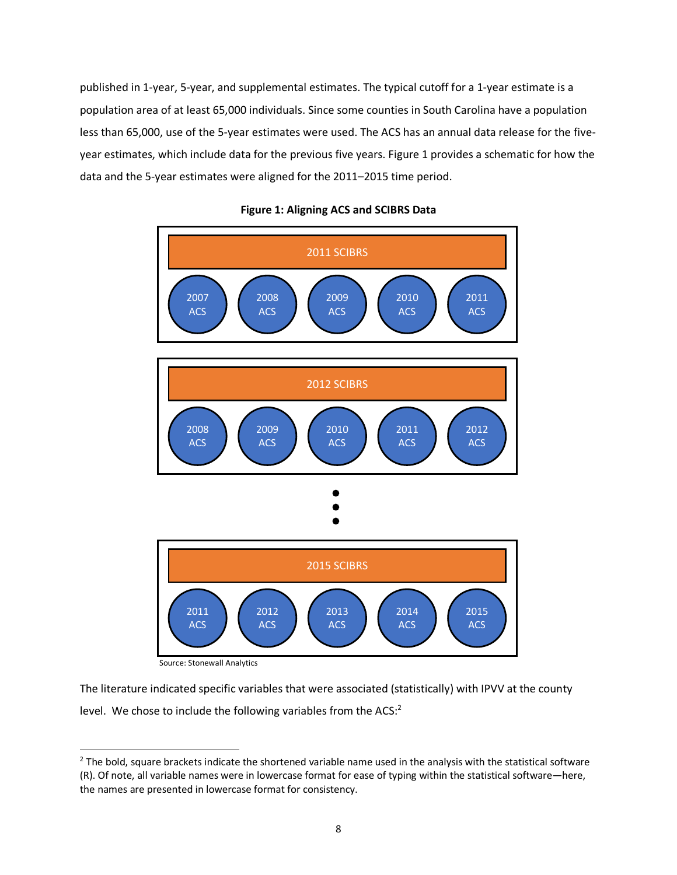published in 1-year, 5-year, and supplemental estimates. The typical cutoff for a 1-year estimate is a population area of at least 65,000 individuals. Since some counties in South Carolina have a population less than 65,000, use of the 5-year estimates were used. The ACS has an annual data release for the fiveyear estimates, which include data for the previous five years. Figure 1 provides a schematic for how the data and the 5-year estimates were aligned for the 2011–2015 time period.



#### **Figure 1: Aligning ACS and SCIBRS Data**

Source: Stonewall Analytics

The literature indicated specific variables that were associated (statistically) with IPVV at the county level. We chose to include the following variables from the ACS: $2$ 

 $2$  The bold, square brackets indicate the shortened variable name used in the analysis with the statistical software (R). Of note, all variable names were in lowercase format for ease of typing within the statistical software—here, the names are presented in lowercase format for consistency.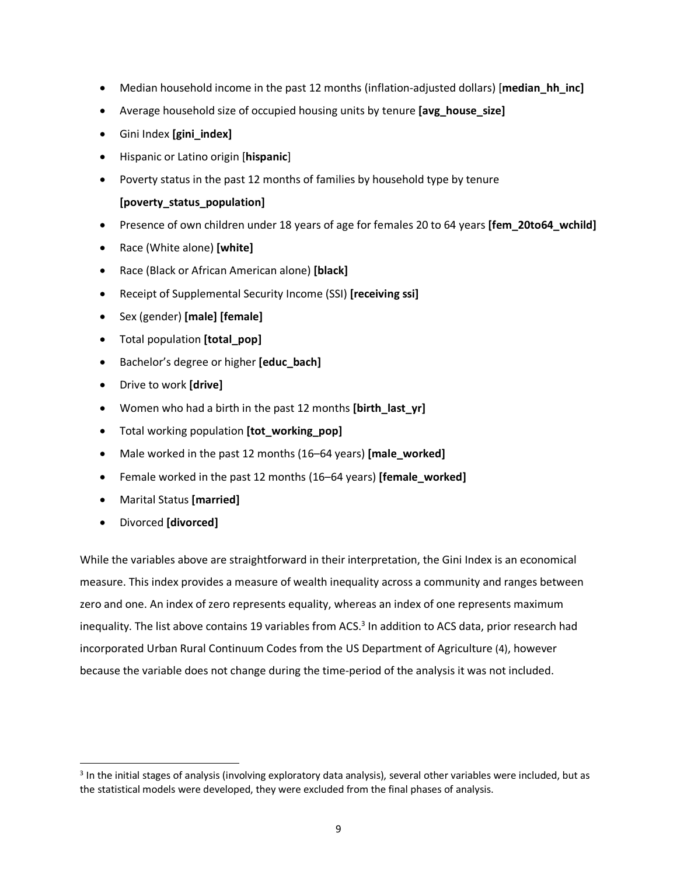- Median household income in the past 12 months (inflation-adjusted dollars) [**median hh inc**]
- Average household size of occupied housing units by tenure **[avg\_house\_size]**
- Gini Index **[gini\_index]**
- Hispanic or Latino origin [**hispanic**]
- Poverty status in the past 12 months of families by household type by tenure

### **[poverty\_status\_population]**

- Presence of own children under 18 years of age for females 20 to 64 years **[fem\_20to64\_wchild]**
- Race (White alone) **[white]**
- Race (Black or African American alone) **[black]**
- Receipt of Supplemental Security Income (SSI) **[receiving ssi]**
- Sex (gender) **[male] [female]**
- Total population **[total\_pop]**
- Bachelor's degree or higher **[educ\_bach]**
- Drive to work **[drive]**
- Women who had a birth in the past 12 months **[birth\_last\_yr]**
- Total working population **[tot\_working\_pop]**
- Male worked in the past 12 months (16–64 years) **[male\_worked]**
- Female worked in the past 12 months (16–64 years) **[female\_worked]**
- Marital Status **[married]**
- Divorced **[divorced]**

While the variables above are straightforward in their interpretation, the Gini Index is an economical measure. This index provides a measure of wealth inequality across a community and ranges between zero and one. An index of zero represents equality, whereas an index of one represents maximum inequality. The list above contains 19 variables from ACS. <sup>3</sup> In addition to ACS data, prior research had incorporated Urban Rural Continuum Codes from the US Department of Agriculture (4), however because the variable does not change during the time-period of the analysis it was not included.

 <sup>3</sup> In the initial stages of analysis (involving exploratory data analysis), several other variables were included, but as the statistical models were developed, they were excluded from the final phases of analysis.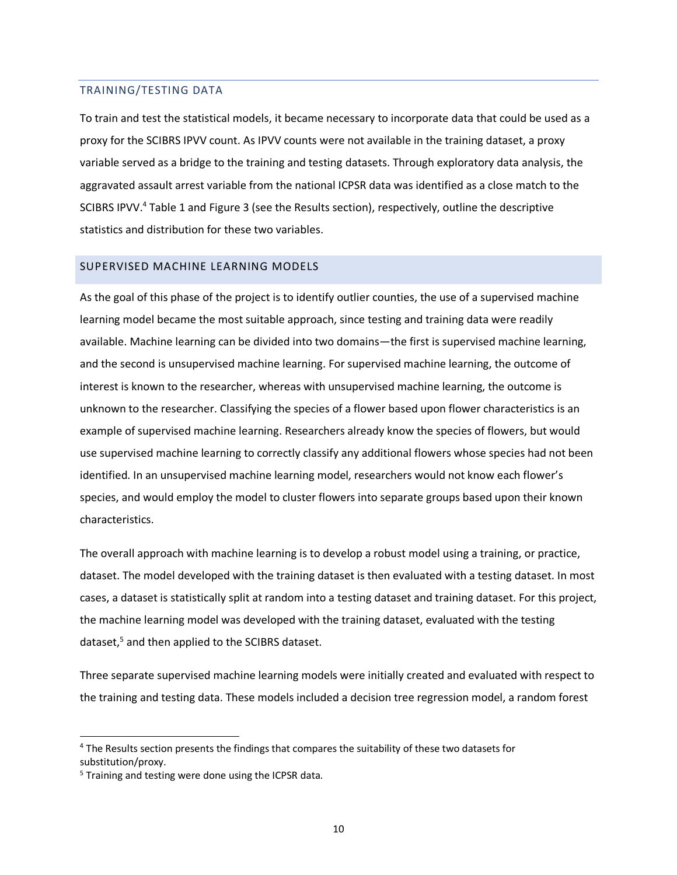#### TRAINING/TESTING DATA

To train and test the statistical models, it became necessary to incorporate data that could be used as a proxy for the SCIBRS IPVV count. As IPVV counts were not available in the training dataset, a proxy variable served as a bridge to the training and testing datasets. Through exploratory data analysis, the aggravated assault arrest variable from the national ICPSR data was identified as a close match to the SCIBRS IPVV.<sup>4</sup> Table 1 and Figure 3 (see the Results section), respectively, outline the descriptive statistics and distribution for these two variables.

#### SUPERVISED MACHINE LEARNING MODELS

As the goal of this phase of the project is to identify outlier counties, the use of a supervised machine learning model became the most suitable approach, since testing and training data were readily available. Machine learning can be divided into two domains—the first is supervised machine learning, and the second is unsupervised machine learning. For supervised machine learning, the outcome of interest is known to the researcher, whereas with unsupervised machine learning, the outcome is unknown to the researcher. Classifying the species of a flower based upon flower characteristics is an example of supervised machine learning. Researchers already know the species of flowers, but would use supervised machine learning to correctly classify any additional flowers whose species had not been identified. In an unsupervised machine learning model, researchers would not know each flower's species, and would employ the model to cluster flowers into separate groups based upon their known characteristics.

The overall approach with machine learning is to develop a robust model using a training, or practice, dataset. The model developed with the training dataset is then evaluated with a testing dataset. In most cases, a dataset is statistically split at random into a testing dataset and training dataset. For this project, the machine learning model was developed with the training dataset, evaluated with the testing dataset,<sup>5</sup> and then applied to the SCIBRS dataset.

Three separate supervised machine learning models were initially created and evaluated with respect to the training and testing data. These models included a decision tree regression model, a random forest

 <sup>4</sup> The Results section presents the findings that compares the suitability of these two datasets for substitution/proxy.

<sup>&</sup>lt;sup>5</sup> Training and testing were done using the ICPSR data.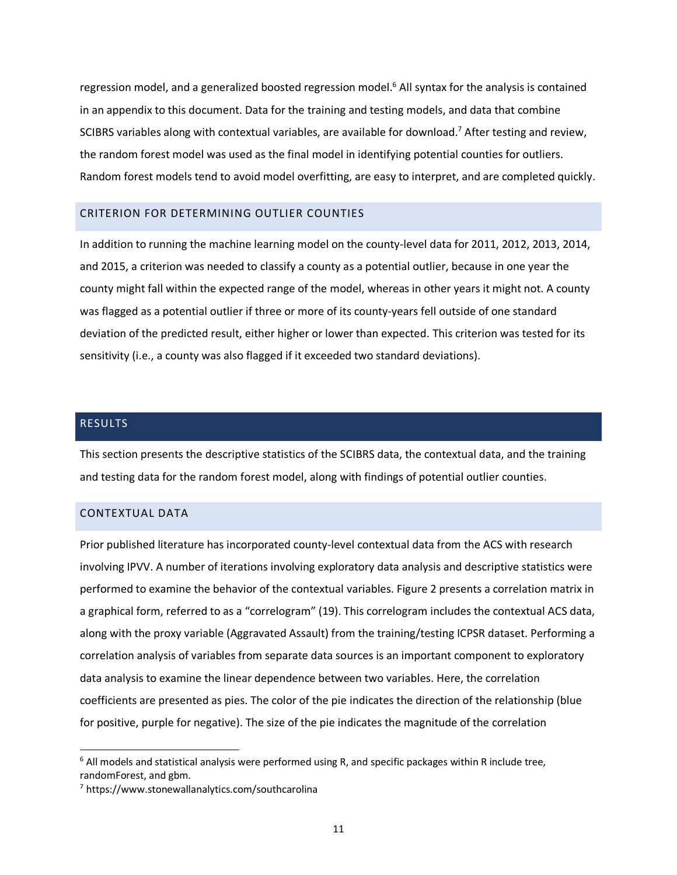regression model, and a generalized boosted regression model.<sup>6</sup> All syntax for the analysis is contained in an appendix to this document. Data for the training and testing models, and data that combine SCIBRS variables along with contextual variables, are available for download.<sup>7</sup> After testing and review, the random forest model was used as the final model in identifying potential counties for outliers. Random forest models tend to avoid model overfitting, are easy to interpret, and are completed quickly.

#### CRITERION FOR DETERMINING OUTLIER COUNTIES

In addition to running the machine learning model on the county-level data for 2011, 2012, 2013, 2014, and 2015, a criterion was needed to classify a county as a potential outlier, because in one year the county might fall within the expected range of the model, whereas in other years it might not. A county was flagged as a potential outlier if three or more of its county-years fell outside of one standard deviation of the predicted result, either higher or lower than expected. This criterion was tested for its sensitivity (i.e., a county was also flagged if it exceeded two standard deviations).

#### RESULTS

This section presents the descriptive statistics of the SCIBRS data, the contextual data, and the training and testing data for the random forest model, along with findings of potential outlier counties.

#### CONTEXTUAL DATA

Prior published literature has incorporated county-level contextual data from the ACS with research involving IPVV. A number of iterations involving exploratory data analysis and descriptive statistics were performed to examine the behavior of the contextual variables. Figure 2 presents a correlation matrix in a graphical form, referred to as a "correlogram" (19). This correlogram includes the contextual ACS data, along with the proxy variable (Aggravated Assault) from the training/testing ICPSR dataset. Performing a correlation analysis of variables from separate data sources is an important component to exploratory data analysis to examine the linear dependence between two variables. Here, the correlation coefficients are presented as pies. The color of the pie indicates the direction of the relationship (blue for positive, purple for negative). The size of the pie indicates the magnitude of the correlation

 $6$  All models and statistical analysis were performed using R, and specific packages within R include tree, randomForest, and gbm.

<sup>7</sup> https://www.stonewallanalytics.com/southcarolina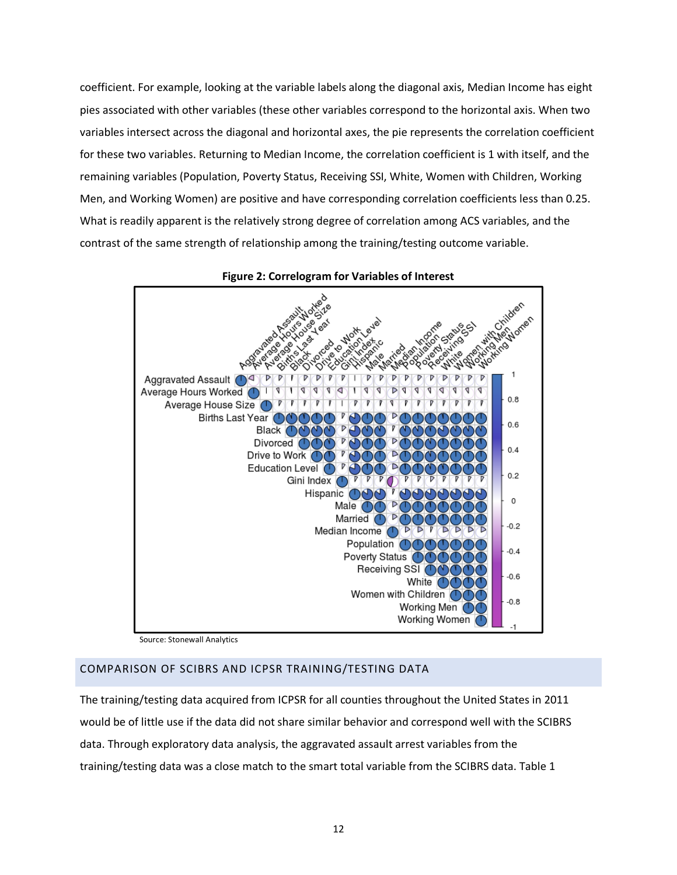coefficient. For example, looking at the variable labels along the diagonal axis, Median Income has eight pies associated with other variables (these other variables correspond to the horizontal axis. When two variables intersect across the diagonal and horizontal axes, the pie represents the correlation coefficient for these two variables. Returning to Median Income, the correlation coefficient is 1 with itself, and the remaining variables (Population, Poverty Status, Receiving SSI, White, Women with Children, Working Men, and Working Women) are positive and have corresponding correlation coefficients less than 0.25. What is readily apparent is the relatively strong degree of correlation among ACS variables, and the contrast of the same strength of relationship among the training/testing outcome variable.



#### **Figure 2: Correlogram for Variables of Interest**

Source: Stonewall Analytics

## COMPARISON OF SCIBRS AND ICPSR TRAINING/TESTING DATA

The training/testing data acquired from ICPSR for all counties throughout the United States in 2011 would be of little use if the data did not share similar behavior and correspond well with the SCIBRS data. Through exploratory data analysis, the aggravated assault arrest variables from the training/testing data was a close match to the smart total variable from the SCIBRS data. Table 1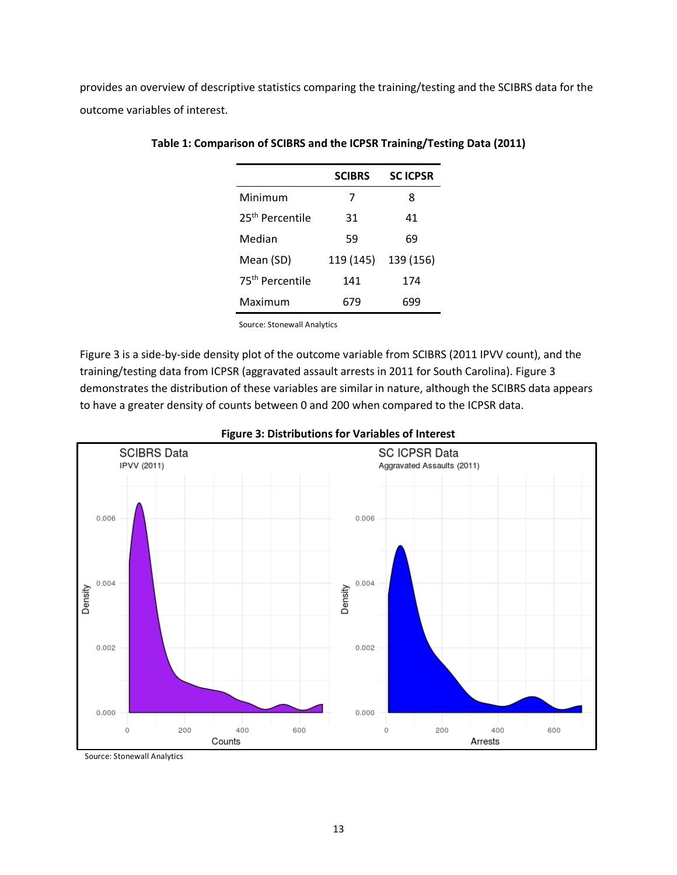provides an overview of descriptive statistics comparing the training/testing and the SCIBRS data for the outcome variables of interest.

|                             | <b>SCIBRS</b> | <b>SCICPSR</b> |
|-----------------------------|---------------|----------------|
| Minimum                     | 7             | 8              |
| 25 <sup>th</sup> Percentile | 31            | 41             |
| Median                      | 59            | 69             |
| Mean (SD)                   | 119 (145)     | 139 (156)      |
| 75 <sup>th</sup> Percentile | 141           | 174            |
| Maximum                     | 679           | 699            |

#### **Table 1: Comparison of SCIBRS and the ICPSR Training/Testing Data (2011)**

Source: Stonewall Analytics

Figure 3 is a side-by-side density plot of the outcome variable from SCIBRS (2011 IPVV count), and the training/testing data from ICPSR (aggravated assault arrests in 2011 for South Carolina). Figure 3 demonstrates the distribution of these variables are similar in nature, although the SCIBRS data appears to have a greater density of counts between 0 and 200 when compared to the ICPSR data.



#### **Figure 3: Distributions for Variables of Interest**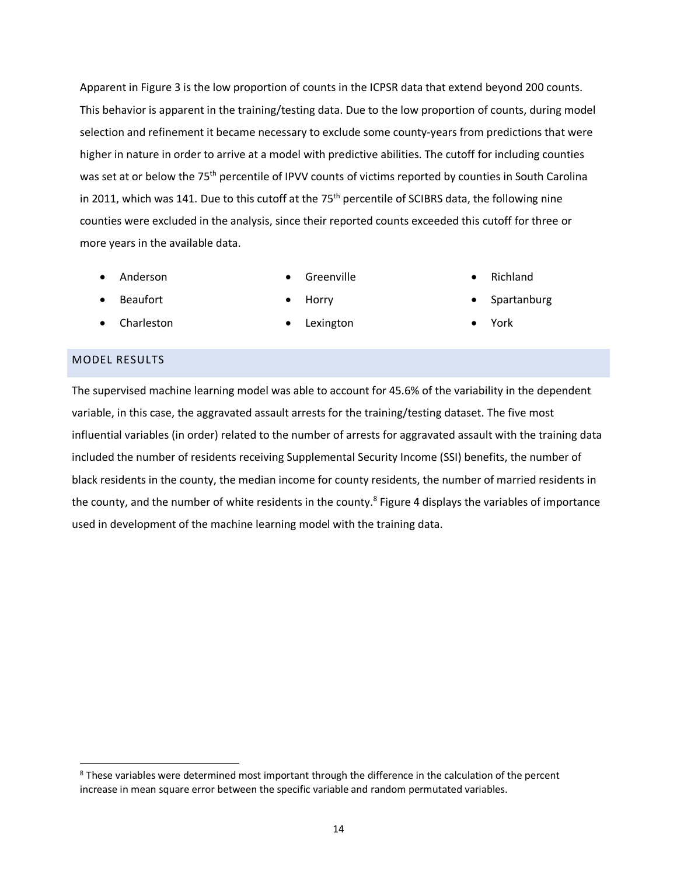Apparent in Figure 3 is the low proportion of counts in the ICPSR data that extend beyond 200 counts. This behavior is apparent in the training/testing data. Due to the low proportion of counts, during model selection and refinement it became necessary to exclude some county-years from predictions that were higher in nature in order to arrive at a model with predictive abilities. The cutoff for including counties was set at or below the 75<sup>th</sup> percentile of IPVV counts of victims reported by counties in South Carolina in 2011, which was 141. Due to this cutoff at the 75<sup>th</sup> percentile of SCIBRS data, the following nine counties were excluded in the analysis, since their reported counts exceeded this cutoff for three or more years in the available data.

• Anderson

• Greenville

• Richland

• Beaufort

• Horry

**Spartanburg** 

- Charleston
- Lexington

• York

## MODEL RESULTS

The supervised machine learning model was able to account for 45.6% of the variability in the dependent variable, in this case, the aggravated assault arrests for the training/testing dataset. The five most influential variables (in order) related to the number of arrests for aggravated assault with the training data included the number of residents receiving Supplemental Security Income (SSI) benefits, the number of black residents in the county, the median income for county residents, the number of married residents in the county, and the number of white residents in the county.<sup>8</sup> Figure 4 displays the variables of importance used in development of the machine learning model with the training data.

<sup>&</sup>lt;sup>8</sup> These variables were determined most important through the difference in the calculation of the percent increase in mean square error between the specific variable and random permutated variables.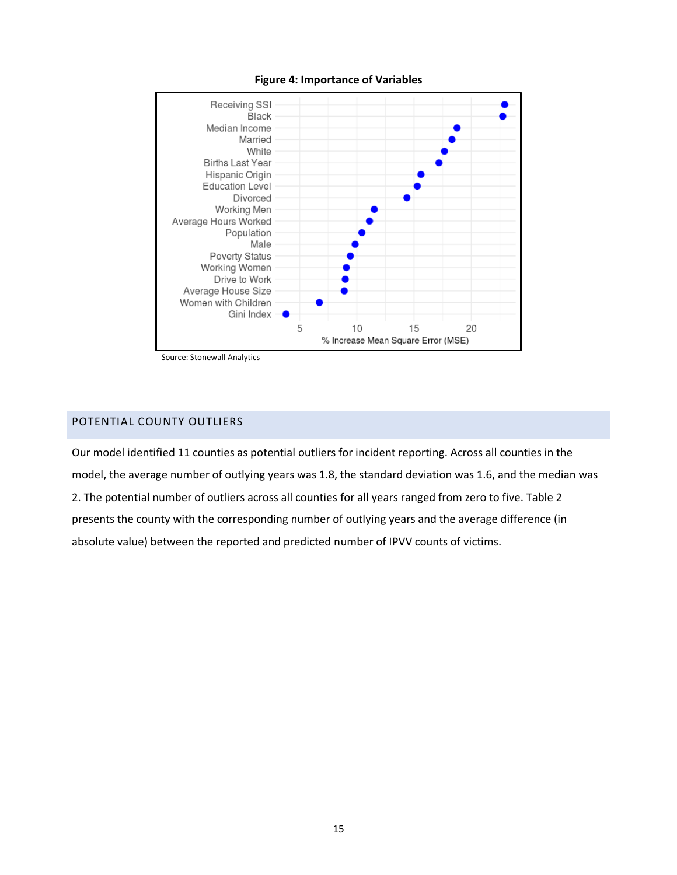



Source: Stonewall Analytics

# POTENTIAL COUNTY OUTLIERS

Our model identified 11 counties as potential outliers for incident reporting. Across all counties in the model, the average number of outlying years was 1.8, the standard deviation was 1.6, and the median was 2. The potential number of outliers across all counties for all years ranged from zero to five. Table 2 presents the county with the corresponding number of outlying years and the average difference (in absolute value) between the reported and predicted number of IPVV counts of victims.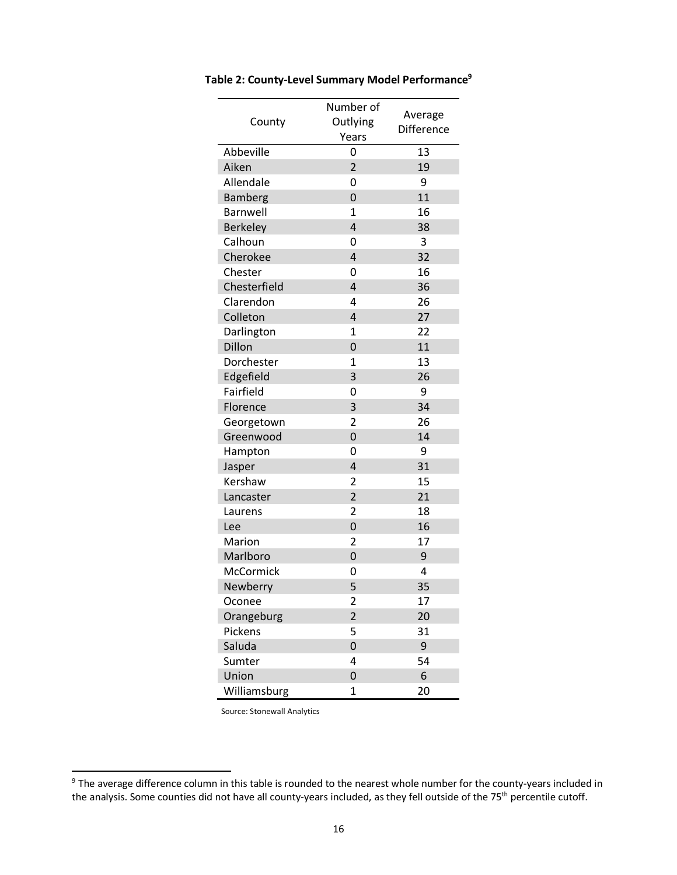|                 | Number of      |                   |
|-----------------|----------------|-------------------|
| County          | Outlying       | Average           |
|                 | Years          | <b>Difference</b> |
| Abbeville       | 0              | 13                |
| Aiken           | $\overline{2}$ | 19                |
| Allendale       | 0              | 9                 |
| <b>Bamberg</b>  | 0              | 11                |
| Barnwell        | 1              | 16                |
| <b>Berkeley</b> | 4              | 38                |
| Calhoun         | 0              | 3                 |
| Cherokee        | 4              | 32                |
| Chester         | 0              | 16                |
| Chesterfield    | 4              | 36                |
| Clarendon       | 4              | 26                |
| Colleton        | 4              | 27                |
| Darlington      | 1              | 22                |
| Dillon          | 0              | 11                |
| Dorchester      | $\mathbf 1$    | 13                |
| Edgefield       | 3              | 26                |
| Fairfield       | 0              | 9                 |
| Florence        | 3              | 34                |
| Georgetown      | $\overline{2}$ | 26                |
| Greenwood       | 0              | 14                |
| Hampton         | 0              | 9                 |
| Jasper          | 4              | 31                |
| Kershaw         | $\overline{2}$ | 15                |
| Lancaster       | $\overline{2}$ | 21                |
| Laurens         | $\overline{2}$ | 18                |
| Lee             | 0              | 16                |
| Marion          | $\overline{2}$ | 17                |
| Marlboro        | 0              | 9                 |
| McCormick       | 0              | 4                 |
| Newberry        | 5              | 35                |
| Oconee          | 2              | 17                |
| Orangeburg      | $\overline{2}$ | 20                |
| Pickens         | 5              | 31                |
| Saluda          | $\overline{0}$ | 9                 |
| Sumter          | 4              | 54                |
| Union           | 0              | 6                 |
| Williamsburg    | 1              | 20                |

**Table 2: County-Level Summary Model Performance9**

<sup>&</sup>lt;sup>9</sup> The average difference column in this table is rounded to the nearest whole number for the county-years included in the analysis. Some counties did not have all county-years included, as they fell outside of the 75th percentile cutoff.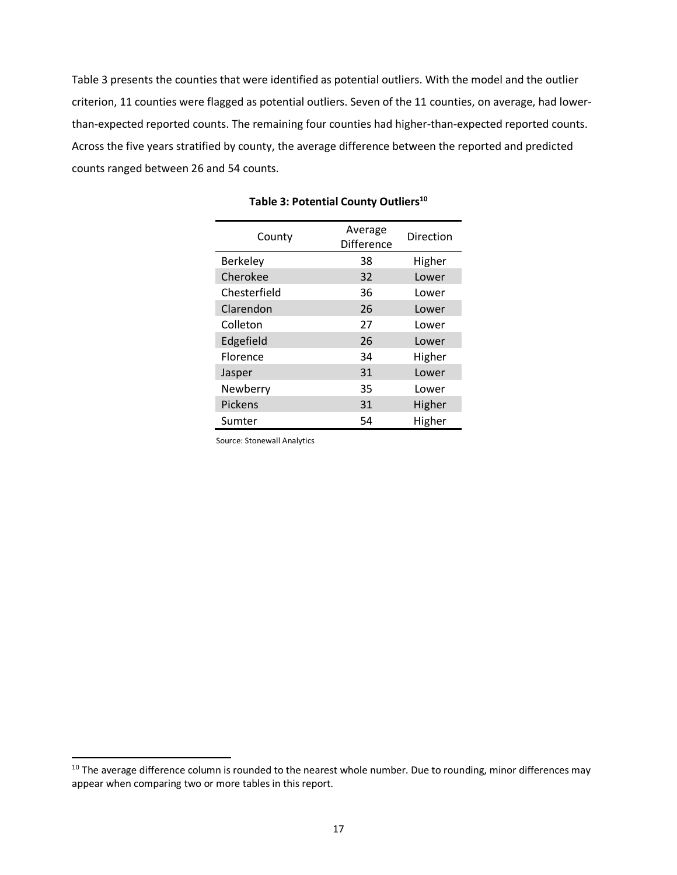Table 3 presents the counties that were identified as potential outliers. With the model and the outlier criterion, 11 counties were flagged as potential outliers. Seven of the 11 counties, on average, had lowerthan-expected reported counts. The remaining four counties had higher-than-expected reported counts. Across the five years stratified by county, the average difference between the reported and predicted counts ranged between 26 and 54 counts.

| County          | Average<br>Difference | Direction |
|-----------------|-----------------------|-----------|
| <b>Berkeley</b> | 38                    | Higher    |
| Cherokee        | 32                    | Lower     |
| Chesterfield    | 36                    | Lower     |
| Clarendon       | 26                    | Lower     |
| Colleton        | 27                    | Lower     |
| Edgefield       | 26                    | Lower     |
| Florence        | 34                    | Higher    |
| Jasper          | 31                    | Lower     |
| Newberry        | 35                    | Lower     |
| Pickens         | 31                    | Higher    |
| Sumter          | 54                    | Higher    |

| Table 3: Potential County Outliers <sup>10</sup> |  |
|--------------------------------------------------|--|
|--------------------------------------------------|--|

<sup>&</sup>lt;sup>10</sup> The average difference column is rounded to the nearest whole number. Due to rounding, minor differences may appear when comparing two or more tables in this report.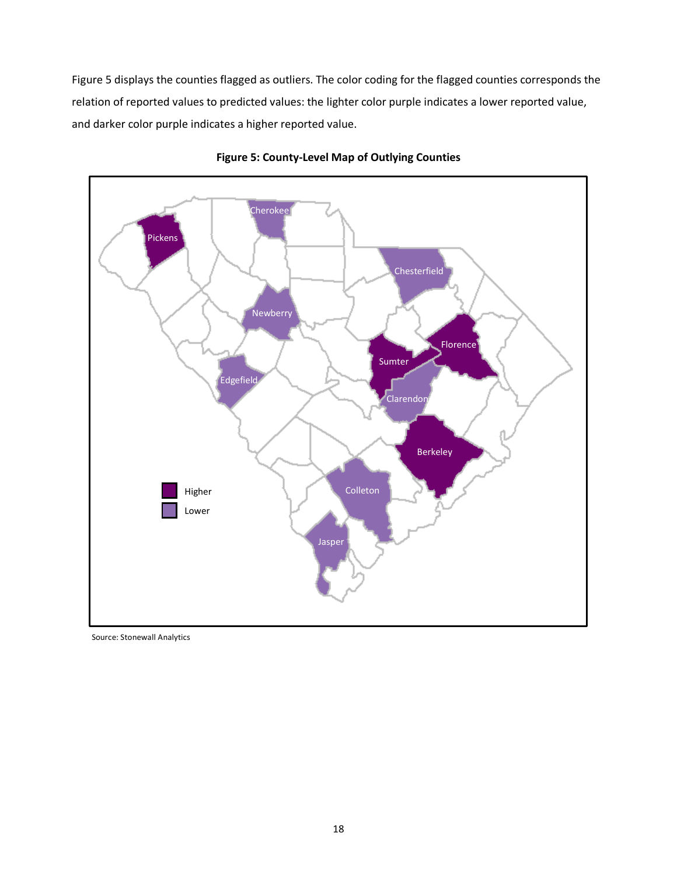Figure 5 displays the counties flagged as outliers. The color coding for the flagged counties corresponds the relation of reported values to predicted values: the lighter color purple indicates a lower reported value, and darker color purple indicates a higher reported value.



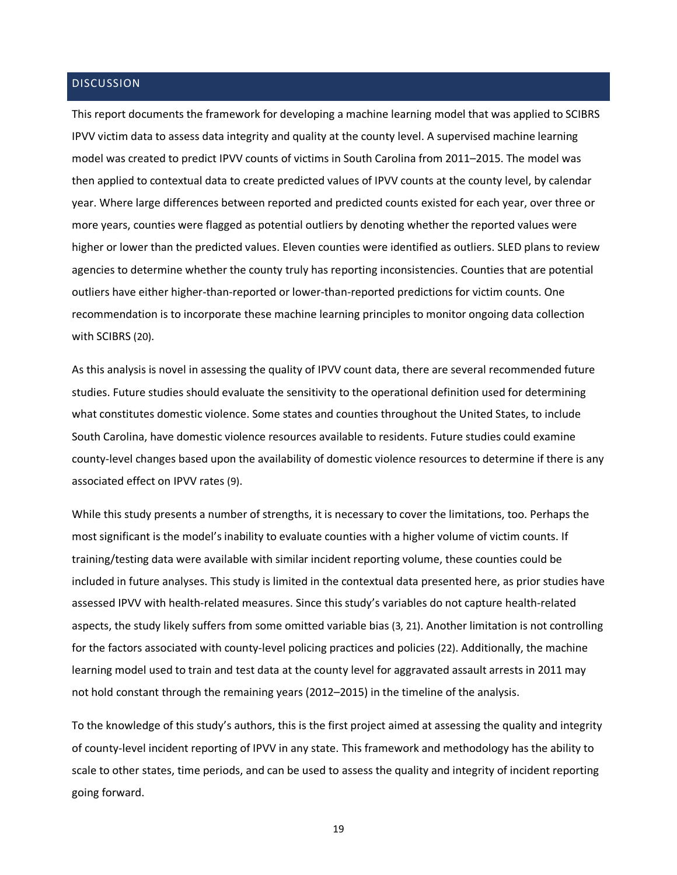#### **DISCUSSION**

This report documents the framework for developing a machine learning model that was applied to SCIBRS IPVV victim data to assess data integrity and quality at the county level. A supervised machine learning model was created to predict IPVV counts of victims in South Carolina from 2011–2015. The model was then applied to contextual data to create predicted values of IPVV counts at the county level, by calendar year. Where large differences between reported and predicted counts existed for each year, over three or more years, counties were flagged as potential outliers by denoting whether the reported values were higher or lower than the predicted values. Eleven counties were identified as outliers. SLED plans to review agencies to determine whether the county truly has reporting inconsistencies. Counties that are potential outliers have either higher-than-reported or lower-than-reported predictions for victim counts. One recommendation is to incorporate these machine learning principles to monitor ongoing data collection with SCIBRS (20).

As this analysis is novel in assessing the quality of IPVV count data, there are several recommended future studies. Future studies should evaluate the sensitivity to the operational definition used for determining what constitutes domestic violence. Some states and counties throughout the United States, to include South Carolina, have domestic violence resources available to residents. Future studies could examine county-level changes based upon the availability of domestic violence resources to determine if there is any associated effect on IPVV rates (9).

While this study presents a number of strengths, it is necessary to cover the limitations, too. Perhaps the most significant is the model's inability to evaluate counties with a higher volume of victim counts. If training/testing data were available with similar incident reporting volume, these counties could be included in future analyses. This study is limited in the contextual data presented here, as prior studies have assessed IPVV with health-related measures. Since this study's variables do not capture health-related aspects, the study likely suffers from some omitted variable bias (3, 21). Another limitation is not controlling for the factors associated with county-level policing practices and policies (22). Additionally, the machine learning model used to train and test data at the county level for aggravated assault arrests in 2011 may not hold constant through the remaining years (2012–2015) in the timeline of the analysis.

To the knowledge of this study's authors, this is the first project aimed at assessing the quality and integrity of county-level incident reporting of IPVV in any state. This framework and methodology has the ability to scale to other states, time periods, and can be used to assess the quality and integrity of incident reporting going forward.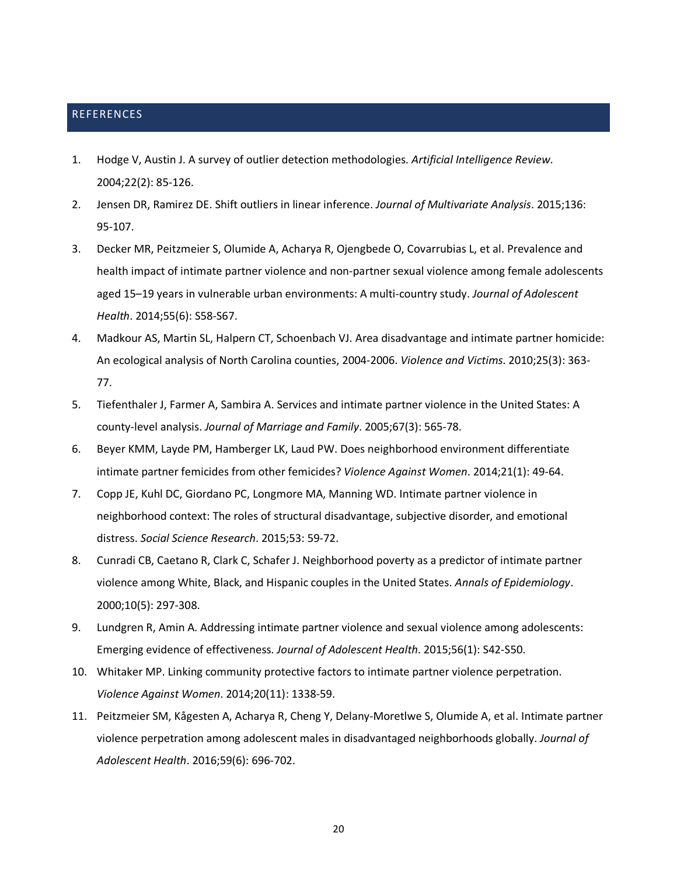#### REFERENCES

- 1. Hodge V, Austin J. A survey of outlier detection methodologies. *Artificial Intelligence Review*. 2004;22(2): 85-126.
- 2. Jensen DR, Ramirez DE. Shift outliers in linear inference. *Journal of Multivariate Analysis*. 2015;136: 95-107.
- 3. Decker MR, Peitzmeier S, Olumide A, Acharya R, Ojengbede O, Covarrubias L, et al. Prevalence and health impact of intimate partner violence and non-partner sexual violence among female adolescents aged 15–19 years in vulnerable urban environments: A multi-country study. *Journal of Adolescent Health*. 2014;55(6): S58-S67.
- 4. Madkour AS, Martin SL, Halpern CT, Schoenbach VJ. Area disadvantage and intimate partner homicide: An ecological analysis of North Carolina counties, 2004-2006. *Violence and Victims*. 2010;25(3): 363- 77.
- 5. Tiefenthaler J, Farmer A, Sambira A. Services and intimate partner violence in the United States: A county-level analysis. *Journal of Marriage and Family*. 2005;67(3): 565-78.
- 6. Beyer KMM, Layde PM, Hamberger LK, Laud PW. Does neighborhood environment differentiate intimate partner femicides from other femicides? *Violence Against Women*. 2014;21(1): 49-64.
- 7. Copp JE, Kuhl DC, Giordano PC, Longmore MA, Manning WD. Intimate partner violence in neighborhood context: The roles of structural disadvantage, subjective disorder, and emotional distress. *Social Science Research*. 2015;53: 59-72.
- 8. Cunradi CB, Caetano R, Clark C, Schafer J. Neighborhood poverty as a predictor of intimate partner violence among White, Black, and Hispanic couples in the United States. *Annals of Epidemiology*. 2000;10(5): 297-308.
- 9. Lundgren R, Amin A. Addressing intimate partner violence and sexual violence among adolescents: Emerging evidence of effectiveness. *Journal of Adolescent Health*. 2015;56(1): S42-S50.
- 10. Whitaker MP. Linking community protective factors to intimate partner violence perpetration. *Violence Against Women*. 2014;20(11): 1338-59.
- 11. Peitzmeier SM, Kågesten A, Acharya R, Cheng Y, Delany-Moretlwe S, Olumide A, et al. Intimate partner violence perpetration among adolescent males in disadvantaged neighborhoods globally. *Journal of Adolescent Health*. 2016;59(6): 696-702.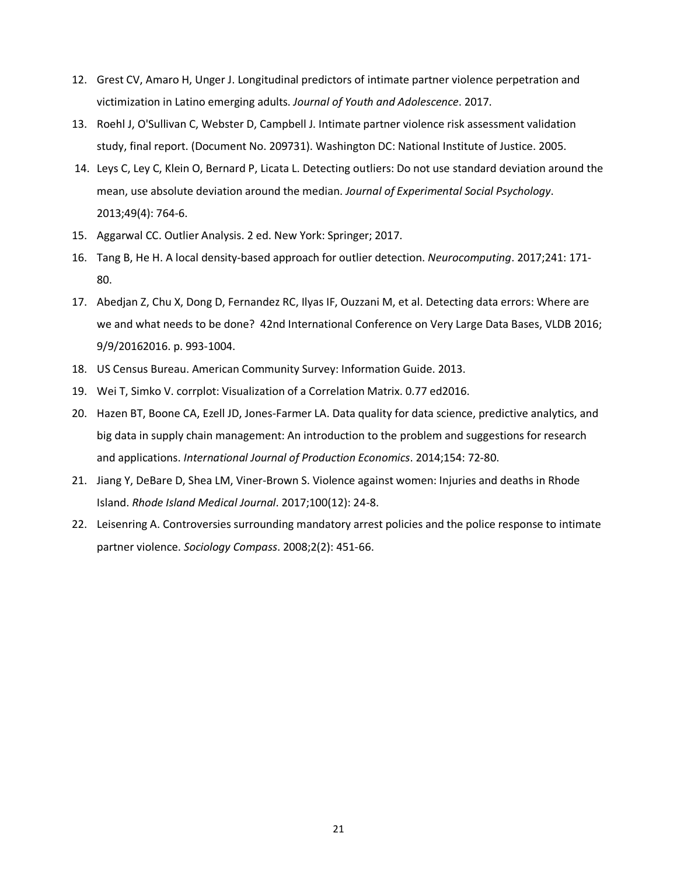- 12. Grest CV, Amaro H, Unger J. Longitudinal predictors of intimate partner violence perpetration and victimization in Latino emerging adults. *Journal of Youth and Adolescence*. 2017.
- 13. Roehl J, O'Sullivan C, Webster D, Campbell J. Intimate partner violence risk assessment validation study, final report. (Document No. 209731). Washington DC: National Institute of Justice. 2005.
- 14. Leys C, Ley C, Klein O, Bernard P, Licata L. Detecting outliers: Do not use standard deviation around the mean, use absolute deviation around the median. *Journal of Experimental Social Psychology*. 2013;49(4): 764-6.
- 15. Aggarwal CC. Outlier Analysis. 2 ed. New York: Springer; 2017.
- 16. Tang B, He H. A local density-based approach for outlier detection. *Neurocomputing*. 2017;241: 171- 80.
- 17. Abedjan Z, Chu X, Dong D, Fernandez RC, Ilyas IF, Ouzzani M, et al. Detecting data errors: Where are we and what needs to be done? 42nd International Conference on Very Large Data Bases, VLDB 2016; 9/9/20162016. p. 993-1004.
- 18. US Census Bureau. American Community Survey: Information Guide. 2013.
- 19. Wei T, Simko V. corrplot: Visualization of a Correlation Matrix. 0.77 ed2016.
- 20. Hazen BT, Boone CA, Ezell JD, Jones-Farmer LA. Data quality for data science, predictive analytics, and big data in supply chain management: An introduction to the problem and suggestions for research and applications. *International Journal of Production Economics*. 2014;154: 72-80.
- 21. Jiang Y, DeBare D, Shea LM, Viner-Brown S. Violence against women: Injuries and deaths in Rhode Island. *Rhode Island Medical Journal*. 2017;100(12): 24-8.
- 22. Leisenring A. Controversies surrounding mandatory arrest policies and the police response to intimate partner violence. *Sociology Compass*. 2008;2(2): 451-66.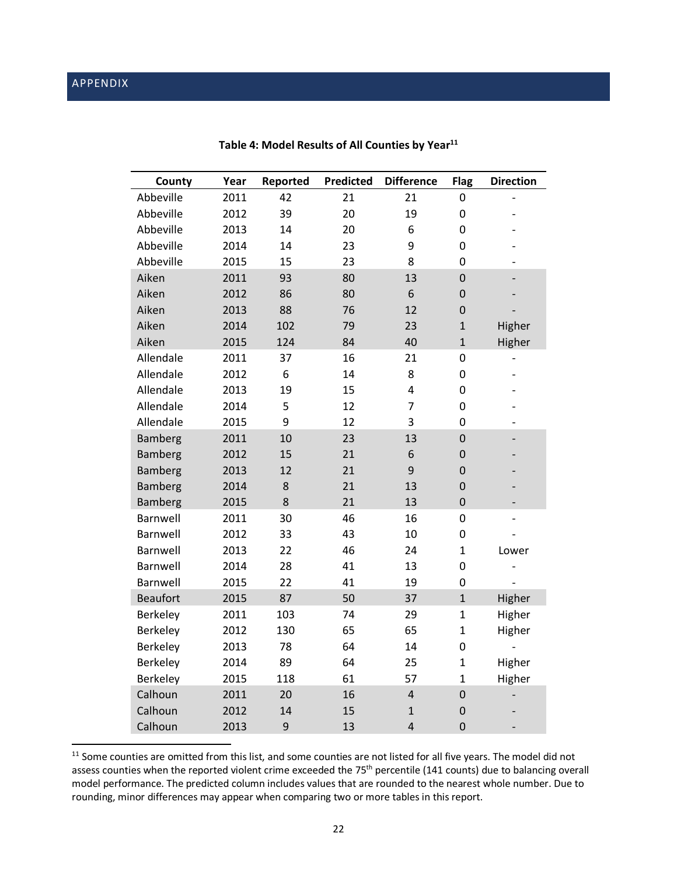# APPENDIX

| County          | Year | Reported | Predicted | <b>Difference</b>       | <b>Flag</b>    | <b>Direction</b>         |
|-----------------|------|----------|-----------|-------------------------|----------------|--------------------------|
| Abbeville       | 2011 | 42       | 21        | 21                      | 0              |                          |
| Abbeville       | 2012 | 39       | 20        | 19                      | 0              |                          |
| Abbeville       | 2013 | 14       | 20        | 6                       | 0              |                          |
| Abbeville       | 2014 | 14       | 23        | 9                       | 0              |                          |
| Abbeville       | 2015 | 15       | 23        | 8                       | 0              |                          |
| Aiken           | 2011 | 93       | 80        | 13                      | $\mathbf 0$    |                          |
| Aiken           | 2012 | 86       | 80        | 6                       | $\overline{0}$ |                          |
| Aiken           | 2013 | 88       | 76        | 12                      | $\mathbf 0$    |                          |
| Aiken           | 2014 | 102      | 79        | 23                      | $\overline{1}$ | Higher                   |
| Aiken           | 2015 | 124      | 84        | 40                      | $\mathbf{1}$   | Higher                   |
| Allendale       | 2011 | 37       | 16        | 21                      | 0              |                          |
| Allendale       | 2012 | 6        | 14        | 8                       | 0              |                          |
| Allendale       | 2013 | 19       | 15        | 4                       | 0              |                          |
| Allendale       | 2014 | 5        | 12        | 7                       | 0              |                          |
| Allendale       | 2015 | 9        | 12        | 3                       | 0              | $\overline{\phantom{a}}$ |
| Bamberg         | 2011 | 10       | 23        | 13                      | $\mathbf 0$    |                          |
| <b>Bamberg</b>  | 2012 | 15       | 21        | 6                       | $\overline{0}$ |                          |
| Bamberg         | 2013 | 12       | 21        | 9                       | $\mathbf 0$    |                          |
| <b>Bamberg</b>  | 2014 | 8        | 21        | 13                      | 0              | $\overline{\phantom{0}}$ |
| Bamberg         | 2015 | 8        | 21        | 13                      | $\overline{0}$ | $\overline{a}$           |
| Barnwell        | 2011 | 30       | 46        | 16                      | 0              | $\overline{\phantom{0}}$ |
| Barnwell        | 2012 | 33       | 43        | 10                      | 0              |                          |
| Barnwell        | 2013 | 22       | 46        | 24                      | $\mathbf{1}$   | Lower                    |
| Barnwell        | 2014 | 28       | 41        | 13                      | 0              |                          |
| Barnwell        | 2015 | 22       | 41        | 19                      | 0              |                          |
| <b>Beaufort</b> | 2015 | 87       | 50        | 37                      | $\mathbf{1}$   | Higher                   |
| Berkeley        | 2011 | 103      | 74        | 29                      | $\mathbf{1}$   | Higher                   |
| Berkeley        | 2012 | 130      | 65        | 65                      | $\mathbf{1}$   | Higher                   |
| Berkeley        | 2013 | 78       | 64        | 14                      | 0              |                          |
| Berkeley        | 2014 | 89       | 64        | 25                      | $\mathbf{1}$   | Higher                   |
| Berkeley        | 2015 | 118      | 61        | 57                      | $\mathbf{1}$   | Higher                   |
| Calhoun         | 2011 | 20       | 16        | $\overline{\mathbf{r}}$ | $\overline{0}$ |                          |
| Calhoun         | 2012 | 14       | 15        | $\mathbf{1}$            | $\mathbf 0$    |                          |
| Calhoun         | 2013 | 9        | 13        | $\overline{\mathbf{r}}$ | $\overline{0}$ |                          |

# Table 4: Model Results of All Counties by Year<sup>11</sup>

<sup>&</sup>lt;sup>11</sup> Some counties are omitted from this list, and some counties are not listed for all five years. The model did not assess counties when the reported violent crime exceeded the 75<sup>th</sup> percentile (141 counts) due to balancing overall model performance. The predicted column includes values that are rounded to the nearest whole number. Due to rounding, minor differences may appear when comparing two or more tables in this report.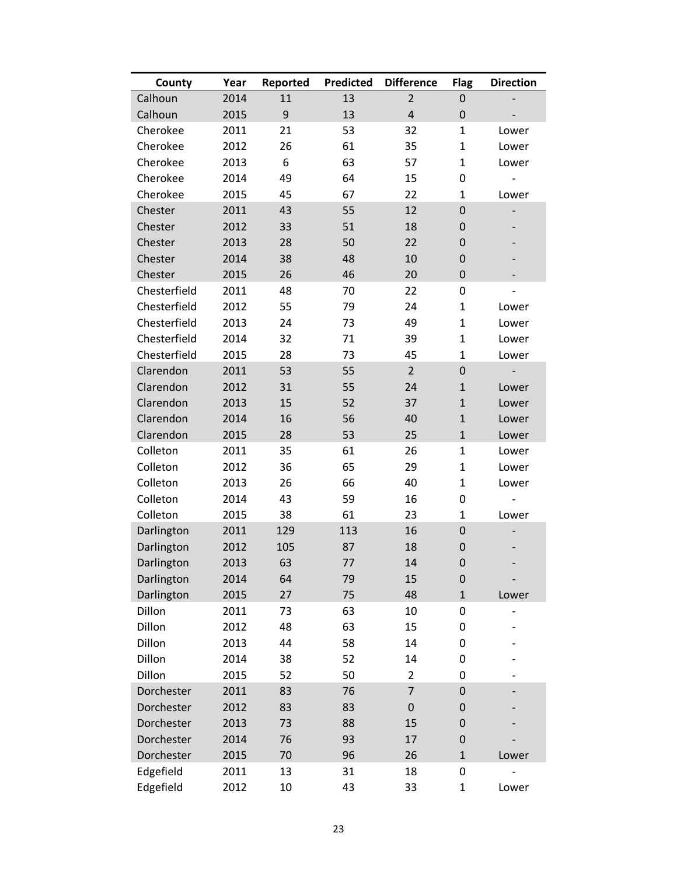| County       | Year | Reported | <b>Predicted</b> | <b>Difference</b>       | <b>Flag</b>  | <b>Direction</b> |
|--------------|------|----------|------------------|-------------------------|--------------|------------------|
| Calhoun      | 2014 | 11       | 13               | $\overline{2}$          | 0            |                  |
| Calhoun      | 2015 | 9        | 13               | $\overline{\mathbf{r}}$ | 0            |                  |
| Cherokee     | 2011 | 21       | 53               | 32                      | $\mathbf{1}$ | Lower            |
| Cherokee     | 2012 | 26       | 61               | 35                      | $\mathbf{1}$ | Lower            |
| Cherokee     | 2013 | 6        | 63               | 57                      | $\mathbf{1}$ | Lower            |
| Cherokee     | 2014 | 49       | 64               | 15                      | 0            |                  |
| Cherokee     | 2015 | 45       | 67               | 22                      | $\mathbf{1}$ | Lower            |
| Chester      | 2011 | 43       | 55               | 12                      | $\mathbf 0$  |                  |
| Chester      | 2012 | 33       | 51               | 18                      | 0            |                  |
| Chester      | 2013 | 28       | 50               | 22                      | $\mathbf 0$  |                  |
| Chester      | 2014 | 38       | 48               | 10                      | 0            |                  |
| Chester      | 2015 | 26       | 46               | 20                      | $\mathbf 0$  |                  |
| Chesterfield | 2011 | 48       | 70               | 22                      | 0            |                  |
| Chesterfield | 2012 | 55       | 79               | 24                      | $\mathbf{1}$ | Lower            |
| Chesterfield | 2013 | 24       | 73               | 49                      | $\mathbf{1}$ | Lower            |
| Chesterfield | 2014 | 32       | 71               | 39                      | $\mathbf{1}$ | Lower            |
| Chesterfield | 2015 | 28       | 73               | 45                      | $\mathbf{1}$ | Lower            |
| Clarendon    | 2011 | 53       | 55               | $\overline{2}$          | $\mathbf 0$  |                  |
| Clarendon    | 2012 | 31       | 55               | 24                      | $\mathbf{1}$ | Lower            |
| Clarendon    | 2013 | 15       | 52               | 37                      | $\mathbf{1}$ | Lower            |
| Clarendon    | 2014 | 16       | 56               | 40                      | $\mathbf{1}$ | Lower            |
| Clarendon    | 2015 | 28       | 53               | 25                      | $\mathbf{1}$ | Lower            |
| Colleton     | 2011 | 35       | 61               | 26                      | $\mathbf{1}$ | Lower            |
| Colleton     | 2012 | 36       | 65               | 29                      | $\mathbf{1}$ | Lower            |
| Colleton     | 2013 | 26       | 66               | 40                      | $\mathbf{1}$ | Lower            |
| Colleton     | 2014 | 43       | 59               | 16                      | 0            |                  |
| Colleton     | 2015 | 38       | 61               | 23                      | $\mathbf{1}$ | Lower            |
| Darlington   | 2011 | 129      | 113              | 16                      | $\mathbf 0$  |                  |
| Darlington   | 2012 | 105      | 87               | 18                      | 0            |                  |
| Darlington   | 2013 | 63       | 77               | 14                      | $\mathbf 0$  |                  |
| Darlington   | 2014 | 64       | 79               | 15                      | 0            |                  |
| Darlington   | 2015 | 27       | 75               | 48                      | $\mathbf 1$  | Lower            |
| Dillon       | 2011 | 73       | 63               | 10                      | 0            |                  |
| Dillon       | 2012 | 48       | 63               | 15                      | 0            |                  |
| Dillon       | 2013 | 44       | 58               | 14                      | 0            |                  |
| Dillon       | 2014 | 38       | 52               | 14                      | 0            |                  |
| Dillon       | 2015 | 52       | 50               | 2                       | 0            |                  |
| Dorchester   | 2011 | 83       | 76               | $\overline{7}$          | $\mathbf 0$  |                  |
| Dorchester   | 2012 | 83       | 83               | $\pmb{0}$               | 0            |                  |
| Dorchester   | 2013 | 73       | 88               | 15                      | 0            |                  |
| Dorchester   | 2014 | 76       | 93               | 17                      | $\mathbf 0$  |                  |
| Dorchester   | 2015 | 70       | 96               | 26                      | $\mathbf 1$  | Lower            |
| Edgefield    | 2011 | 13       | 31               | 18                      | 0            |                  |
| Edgefield    | 2012 | 10       | 43               | 33                      | $\mathbf{1}$ | Lower            |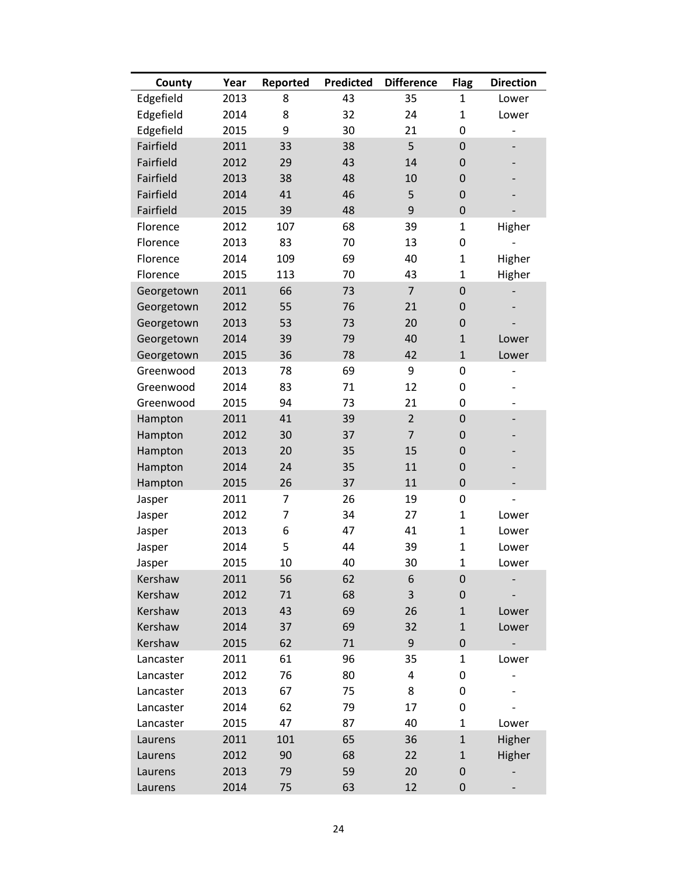| County     | Year | Reported | <b>Predicted</b> | <b>Difference</b> | <b>Flag</b>      | <b>Direction</b> |
|------------|------|----------|------------------|-------------------|------------------|------------------|
| Edgefield  | 2013 | 8        | 43               | 35                | 1                | Lower            |
| Edgefield  | 2014 | 8        | 32               | 24                | $\mathbf{1}$     | Lower            |
| Edgefield  | 2015 | 9        | 30               | 21                | 0                |                  |
| Fairfield  | 2011 | 33       | 38               | 5                 | $\pmb{0}$        |                  |
| Fairfield  | 2012 | 29       | 43               | 14                | $\pmb{0}$        |                  |
| Fairfield  | 2013 | 38       | 48               | 10                | $\pmb{0}$        |                  |
| Fairfield  | 2014 | 41       | 46               | 5                 | $\pmb{0}$        |                  |
| Fairfield  | 2015 | 39       | 48               | 9                 | $\boldsymbol{0}$ |                  |
| Florence   | 2012 | 107      | 68               | 39                | $\mathbf{1}$     | Higher           |
| Florence   | 2013 | 83       | 70               | 13                | $\pmb{0}$        |                  |
| Florence   | 2014 | 109      | 69               | 40                | $\mathbf{1}$     | Higher           |
| Florence   | 2015 | 113      | 70               | 43                | $\mathbf{1}$     | Higher           |
| Georgetown | 2011 | 66       | 73               | $\overline{7}$    | $\boldsymbol{0}$ |                  |
| Georgetown | 2012 | 55       | 76               | 21                | $\pmb{0}$        |                  |
| Georgetown | 2013 | 53       | 73               | 20                | $\pmb{0}$        |                  |
| Georgetown | 2014 | 39       | 79               | 40                | $\mathbf{1}$     | Lower            |
| Georgetown | 2015 | 36       | 78               | 42                | $\mathbf{1}$     | Lower            |
| Greenwood  | 2013 | 78       | 69               | 9                 | 0                |                  |
| Greenwood  | 2014 | 83       | 71               | 12                | 0                |                  |
| Greenwood  | 2015 | 94       | 73               | 21                | 0                |                  |
| Hampton    | 2011 | 41       | 39               | $\overline{2}$    | $\pmb{0}$        |                  |
| Hampton    | 2012 | 30       | 37               | $\overline{7}$    | $\mathbf 0$      |                  |
| Hampton    | 2013 | 20       | 35               | 15                | $\pmb{0}$        |                  |
| Hampton    | 2014 | 24       | 35               | 11                | $\pmb{0}$        |                  |
| Hampton    | 2015 | 26       | 37               | 11                | $\pmb{0}$        |                  |
| Jasper     | 2011 | 7        | 26               | 19                | $\pmb{0}$        |                  |
| Jasper     | 2012 | 7        | 34               | 27                | $\mathbf{1}$     | Lower            |
| Jasper     | 2013 | 6        | 47               | 41                | $\mathbf{1}$     | Lower            |
| Jasper     | 2014 | 5        | 44               | 39                | $\mathbf{1}$     | Lower            |
| Jasper     | 2015 | 10       | 40               | 30                | $\overline{1}$   | Lower            |
| Kershaw    | 2011 | 56       | 62               | 6                 | $\pmb{0}$        |                  |
| Kershaw    | 2012 | 71       | 68               | 3                 | $\pmb{0}$        |                  |
| Kershaw    | 2013 | 43       | 69               | 26                | $\mathbf{1}$     | Lower            |
| Kershaw    | 2014 | 37       | 69               | 32                | $\mathbf{1}$     | Lower            |
| Kershaw    | 2015 | 62       | 71               | 9                 | $\pmb{0}$        |                  |
| Lancaster  | 2011 | 61       | 96               | 35                | $\mathbf{1}$     | Lower            |
| Lancaster  | 2012 | 76       | 80               | 4                 | 0                |                  |
| Lancaster  | 2013 | 67       | 75               | 8                 | 0                |                  |
| Lancaster  | 2014 | 62       | 79               | 17                | 0                |                  |
| Lancaster  | 2015 | 47       | 87               | 40                | 1                | Lower            |
| Laurens    | 2011 | 101      | 65               | 36                | $\mathbf{1}$     | Higher           |
| Laurens    | 2012 | 90       | 68               | 22                | $\mathbf{1}$     | Higher           |
| Laurens    | 2013 | 79       | 59               | 20                | $\pmb{0}$        |                  |
| Laurens    | 2014 | 75       | 63               | 12                | $\pmb{0}$        |                  |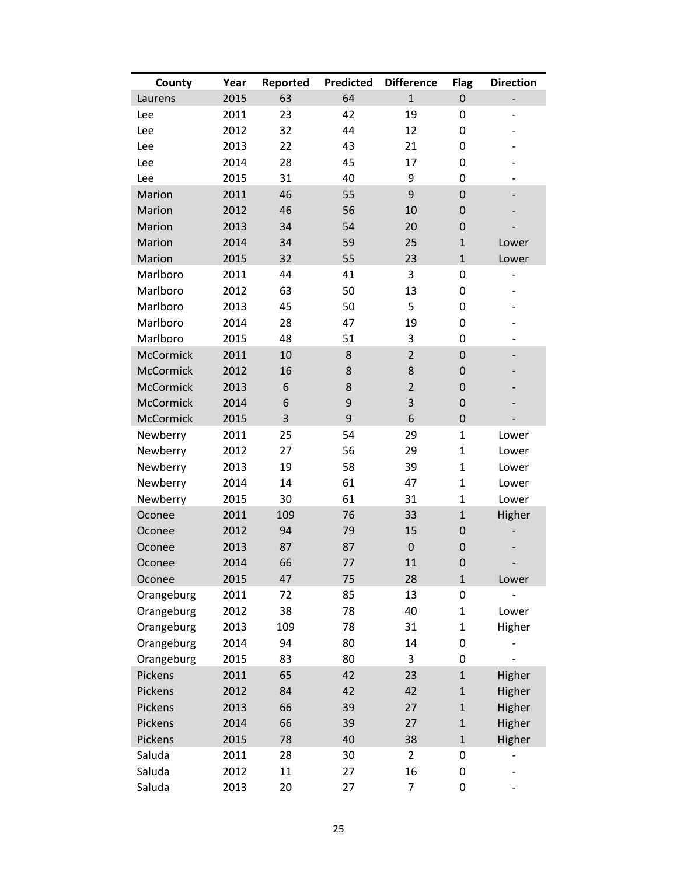| County           | Year | Reported | <b>Predicted</b> | <b>Difference</b> | <b>Flag</b>  | <b>Direction</b>         |
|------------------|------|----------|------------------|-------------------|--------------|--------------------------|
| Laurens          | 2015 | 63       | 64               | $\mathbf{1}$      | 0            |                          |
| Lee              | 2011 | 23       | 42               | 19                | 0            |                          |
| Lee              | 2012 | 32       | 44               | 12                | 0            |                          |
| Lee              | 2013 | 22       | 43               | 21                | 0            |                          |
| Lee              | 2014 | 28       | 45               | 17                | 0            |                          |
| Lee              | 2015 | 31       | 40               | 9                 | 0            |                          |
| Marion           | 2011 | 46       | 55               | 9                 | $\mathbf 0$  |                          |
| Marion           | 2012 | 46       | 56               | 10                | $\mathbf 0$  |                          |
| <b>Marion</b>    | 2013 | 34       | 54               | 20                | 0            |                          |
| Marion           | 2014 | 34       | 59               | 25                | $\mathbf{1}$ | Lower                    |
| Marion           | 2015 | 32       | 55               | 23                | $\mathbf{1}$ | Lower                    |
| Marlboro         | 2011 | 44       | 41               | 3                 | 0            | $\qquad \qquad -$        |
| Marlboro         | 2012 | 63       | 50               | 13                | 0            |                          |
| Marlboro         | 2013 | 45       | 50               | 5                 | 0            |                          |
| Marlboro         | 2014 | 28       | 47               | 19                | 0            |                          |
| Marlboro         | 2015 | 48       | 51               | 3                 | 0            | $\overline{\phantom{a}}$ |
| <b>McCormick</b> | 2011 | 10       | 8                | $\overline{2}$    | $\mathbf 0$  |                          |
| <b>McCormick</b> | 2012 | 16       | 8                | 8                 | 0            |                          |
| <b>McCormick</b> | 2013 | 6        | 8                | $\overline{2}$    | $\mathbf 0$  |                          |
| <b>McCormick</b> | 2014 | 6        | $\boldsymbol{9}$ | 3                 | $\mathbf 0$  |                          |
| McCormick        | 2015 | 3        | 9                | 6                 | $\mathbf 0$  |                          |
| Newberry         | 2011 | 25       | 54               | 29                | $\mathbf{1}$ | Lower                    |
| Newberry         | 2012 | 27       | 56               | 29                | $\mathbf{1}$ | Lower                    |
| Newberry         | 2013 | 19       | 58               | 39                | $\mathbf{1}$ | Lower                    |
| Newberry         | 2014 | 14       | 61               | 47                | $\mathbf{1}$ | Lower                    |
| Newberry         | 2015 | 30       | 61               | 31                | $\mathbf{1}$ | Lower                    |
| Oconee           | 2011 | 109      | 76               | 33                | $\mathbf{1}$ | Higher                   |
| Oconee           | 2012 | 94       | 79               | 15                | 0            |                          |
| Oconee           | 2013 | 87       | 87               | $\overline{0}$    | $\mathbf 0$  |                          |
| Oconee           | 2014 | 66       | 77               | 11                | $\mathbf 0$  |                          |
| Oconee           | 2015 | 47       | 75               | 28                | $\mathbf{1}$ | Lower                    |
| Orangeburg       | 2011 | 72       | 85               | 13                | 0            |                          |
| Orangeburg       | 2012 | 38       | 78               | 40                | 1            | Lower                    |
| Orangeburg       | 2013 | 109      | 78               | 31                | $\mathbf{1}$ | Higher                   |
| Orangeburg       | 2014 | 94       | 80               | 14                | 0            |                          |
| Orangeburg       | 2015 | 83       | 80               | 3                 | 0            |                          |
| Pickens          | 2011 | 65       | 42               | 23                | $\mathbf{1}$ | Higher                   |
| Pickens          | 2012 | 84       | 42               | 42                | $\mathbf{1}$ | Higher                   |
| Pickens          | 2013 | 66       | 39               | 27                | $\mathbf{1}$ | Higher                   |
| Pickens          | 2014 | 66       | 39               | 27                | $\mathbf{1}$ | Higher                   |
| Pickens          | 2015 | 78       | 40               | 38                | $\mathbf{1}$ | Higher                   |
| Saluda           | 2011 | 28       | 30               | $\overline{2}$    | 0            |                          |
| Saluda           | 2012 | 11       | 27               | 16                | 0            |                          |
| Saluda           | 2013 | 20       | 27               | 7                 | 0            |                          |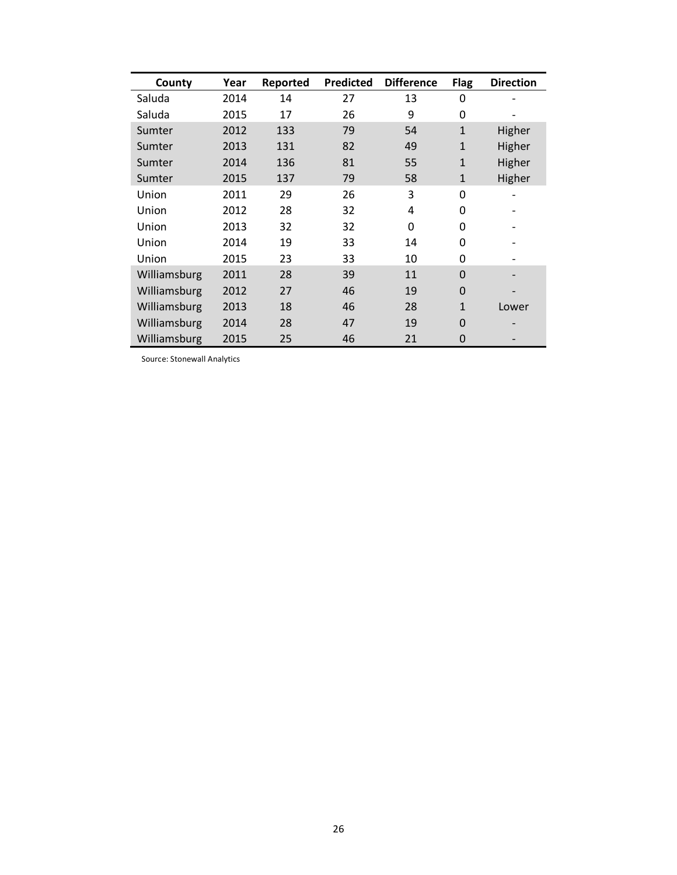| County       | Year | Reported | <b>Predicted</b> | <b>Difference</b> | <b>Flag</b>  | <b>Direction</b> |
|--------------|------|----------|------------------|-------------------|--------------|------------------|
| Saluda       | 2014 | 14       | 27               | 13                | 0            |                  |
| Saluda       | 2015 | 17       | 26               | 9                 | 0            |                  |
| Sumter       | 2012 | 133      | 79               | 54                | $\mathbf{1}$ | Higher           |
| Sumter       | 2013 | 131      | 82               | 49                | $\mathbf{1}$ | Higher           |
| Sumter       | 2014 | 136      | 81               | 55                | $\mathbf{1}$ | Higher           |
| Sumter       | 2015 | 137      | 79               | 58                | $\mathbf{1}$ | Higher           |
| Union        | 2011 | 29       | 26               | 3                 | 0            |                  |
| Union        | 2012 | 28       | 32               | 4                 | 0            |                  |
| Union        | 2013 | 32       | 32               | 0                 | 0            |                  |
| Union        | 2014 | 19       | 33               | 14                | 0            |                  |
| Union        | 2015 | 23       | 33               | 10                | 0            |                  |
| Williamsburg | 2011 | 28       | 39               | 11                | $\Omega$     |                  |
| Williamsburg | 2012 | 27       | 46               | 19                | $\Omega$     |                  |
| Williamsburg | 2013 | 18       | 46               | 28                | $\mathbf{1}$ | Lower            |
| Williamsburg | 2014 | 28       | 47               | 19                | 0            |                  |
| Williamsburg | 2015 | 25       | 46               | 21                | 0            |                  |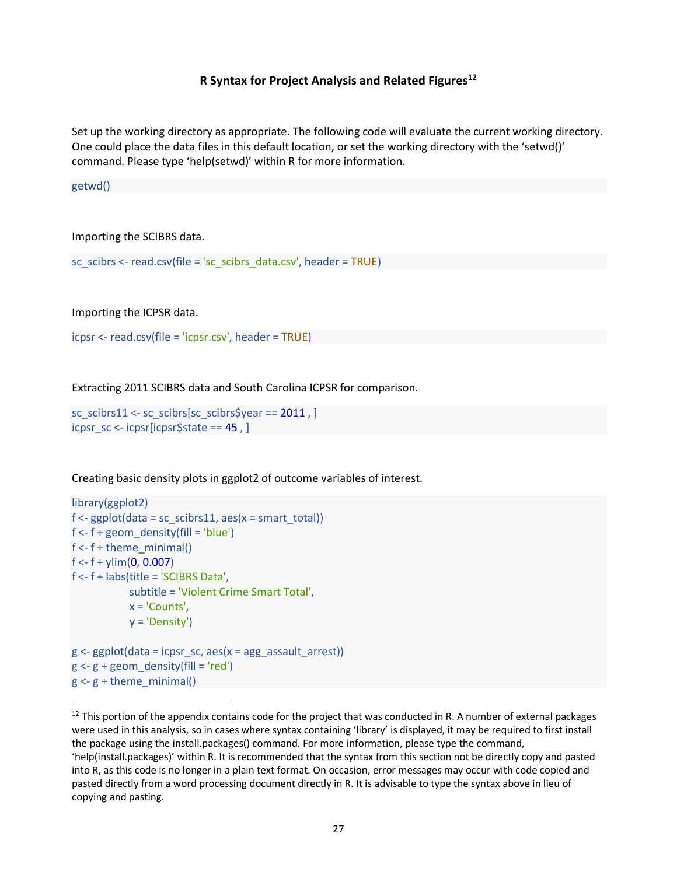### **R Syntax for Project Analysis and Related Figures12**

Set up the working directory as appropriate. The following code will evaluate the current working directory. One could place the data files in this default location, or set the working directory with the 'setwd()' command. Please type 'help(setwd)' within R for more information.

getwd()

Importing the SCIBRS data.

sc\_scibrs <- read.csv(file = 'sc\_scibrs\_data.csv', header =  $TRUE$ )

Importing the ICPSR data.

icpsr <- read.csv(file = 'icpsr.csv', header = TRUE)

Extracting 2011 SCIBRS data and South Carolina ICPSR for comparison.

```
sc_scibrs11 <- sc_scibrs[sc_scibrs$year == 2011 , ]
icpsr_sc <- icpsr[icpsr$state == 45 , ]
```
Creating basic density plots in ggplot2 of outcome variables of interest.

```
library(ggplot2)
f \leq ggplot(data = scscibrs11, aes(x = smart total))f < -f + geom density(fill = 'blue')
f < -f + theme minimal()
f < -f + ylim(0, 0.007)f <- f + labs(title = 'SCIBRS Data',
             subtitle = 'Violent Crime Smart Total',
            x = 'Counts',y = 'Density')g \leq-ggplot(data = icpsr_sc, aes(x = ag_lassault\_arrest))g \le -g + geom\_density(fill = 'red')g \leq -g + theme minimal()
```
 $12$  This portion of the appendix contains code for the project that was conducted in R. A number of external packages were used in this analysis, so in cases where syntax containing 'library' is displayed, it may be required to first install the package using the install.packages() command. For more information, please type the command, 'help(install.packages)' within R. It is recommended that the syntax from this section not be directly copy and pasted into R, as this code is no longer in a plain text format. On occasion, error messages may occur with code copied and pasted directly from a word processing document directly in R. It is advisable to type the syntax above in lieu of copying and pasting.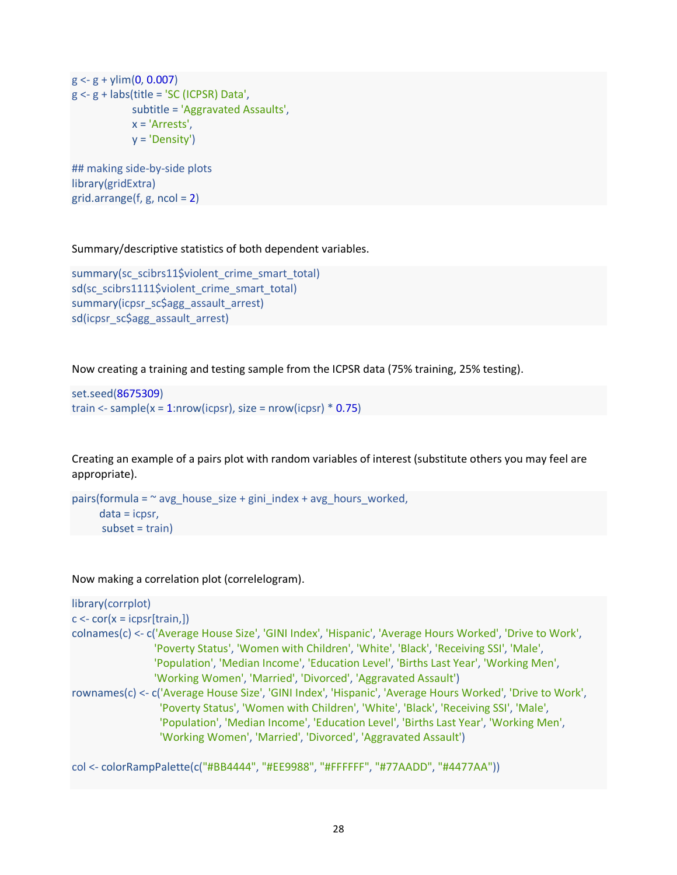$g < g +$  ylim(0, 0.007) g <- g + labs(title = 'SC (ICPSR) Data', subtitle = 'Aggravated Assaults', x = 'Arrests', y = 'Density')

## making side-by-side plots library(gridExtra) grid.arrange( $f$ ,  $g$ , ncol = 2)

Summary/descriptive statistics of both dependent variables.

```
summary(sc_scibrs11$violent_crime_smart_total)
sd(sc_scibrs1111$violent_crime_smart_total)
summary(icpsr_sc$agg_assault_arrest)
sd(icpsr_sc$agg_assault_arrest)
```
Now creating a training and testing sample from the ICPSR data (75% training, 25% testing).

```
set.seed(8675309)
train <- sample(x = 1:nrow(icpsr), size = nrow(icpsr) * 0.75)
```
Creating an example of a pairs plot with random variables of interest (substitute others you may feel are appropriate).

```
pairs(formula = \sim avg house size + gini index + avg hours worked,
      data = icpsr, 
       subset = train)
```
Now making a correlation plot (correlelogram).

```
library(corrplot)
c \leq -\text{cor}(x = i\text{cpsr}[train,])colnames(c) <- c('Average House Size', 'GINI Index', 'Hispanic', 'Average Hours Worked', 'Drive to Work',
                  'Poverty Status', 'Women with Children', 'White', 'Black', 'Receiving SSI', 'Male', 
                  'Population', 'Median Income', 'Education Level', 'Births Last Year', 'Working Men', 
                  'Working Women', 'Married', 'Divorced', 'Aggravated Assault')
rownames(c) <- c('Average House Size', 'GINI Index', 'Hispanic', 'Average Hours Worked', 'Drive to Work',
                   'Poverty Status', 'Women with Children', 'White', 'Black', 'Receiving SSI', 'Male', 
                    'Population', 'Median Income', 'Education Level', 'Births Last Year', 'Working Men', 
                   'Working Women', 'Married', 'Divorced', 'Aggravated Assault')
```
col <- colorRampPalette(c("#BB4444", "#EE9988", "#FFFFFF", "#77AADD", "#4477AA"))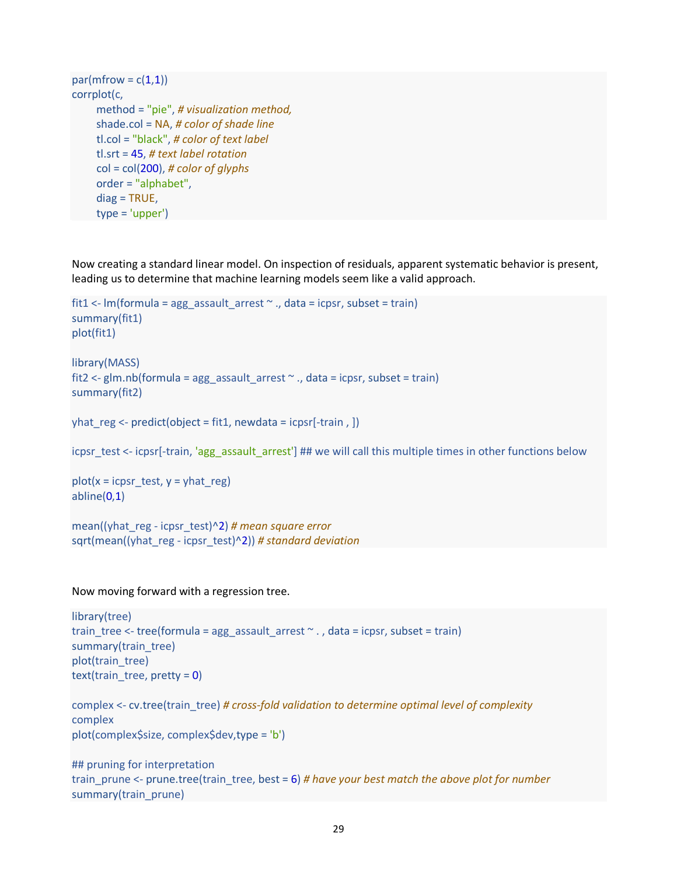```
par(mfrow = c(1,1))corrplot(c,
      method = "pie", # visualization method, 
      shade.col = NA, # color of shade line
      tl.col = "black", # color of text label
      tl.srt = 45, # text label rotation
      col = col(200), # color of glyphs
      order = "alphabet",
      diag = TRUE,
      type = 'upper')
```
Now creating a standard linear model. On inspection of residuals, apparent systematic behavior is present, leading us to determine that machine learning models seem like a valid approach.

```
fit1 <- Im(formula = agg\_assault\_arrest ~ ~ ., data = icpsr, subset = train)
summary(fit1)
plot(fit1)
library(MASS)
```

```
fit2 <- glm.nb(formula = agg_assault_arrest \sim ., data = icpsr, subset = train)
summary(fit2)
```

```
yhat reg \leq- predict(object = fit1, newdata = icpsr[-train , ])
```

```
icpsr_test <- icpsr[-train, 'agg_assault_arrest'] ## we will call this multiple times in other functions below
```

```
plot(x = icpsr_test, y = yhat_reg)abline(0,1)
```
mean((yhat\_reg - icpsr\_test)^2) *# mean square error* sqrt(mean((yhat\_reg - icpsr\_test)^2)) *# standard deviation*

#### Now moving forward with a regression tree.

```
library(tree)
train tree <- tree(formula = agg_assault_arrest \sim ., data = icpsr, subset = train)
summary(train_tree)
plot(train_tree)
text(train_tree, pretty = 0)
```

```
complex <- cv.tree(train_tree) # cross-fold validation to determine optimal level of complexity
complex
plot(complex$size, complex$dev,type = 'b')
```

```
## pruning for interpretation
train_prune <- prune.tree(train_tree, best = 6) # have your best match the above plot for number
summary(train_prune)
```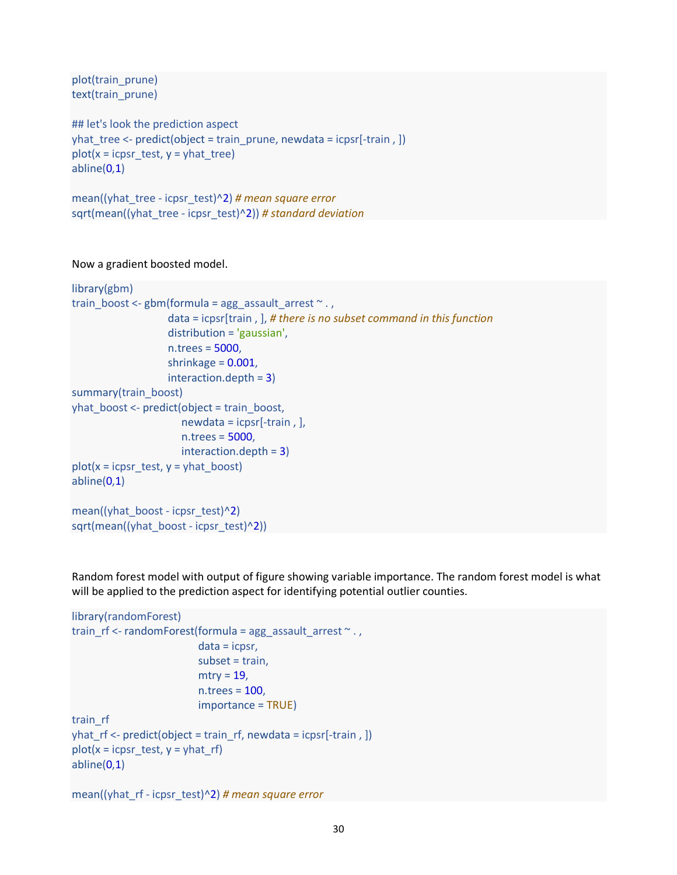plot(train\_prune) text(train\_prune)

```
## let's look the prediction aspect
yhat tree <- predict(object = train_prune, newdata = icpsr[-train, ])
plot(x = icpsr test, y = yhat tree)abline(0,1)
```
mean((yhat\_tree - icpsr\_test)^2) *# mean square error* sqrt(mean((yhat\_tree - icpsr\_test)^2)) *# standard deviation*

Now a gradient boosted model.

```
library(gbm)
train_boost <- gbm(formula = ag\_assault\_arrest ~ . , data = icpsr[train , ], # there is no subset command in this function
                     distribution = 'gaussian',
                     n.trees = 5000,
                     shrinkage = 0.001,
                     interaction.depth = 3)
summary(train_boost)
yhat boost <- predict(object = train boost,
                       newdata = icpsr[-train , ], 
                       n.trees = 5000,
                       interaction.depth = 3)
plot(x = icpsr_test, y = yhat_book)abline(0,1)
mean((yhat boost - icpsr_test)^2)
sqrt(mean((yhat_boost - icpsr_test)^2))
```
Random forest model with output of figure showing variable importance. The random forest model is what will be applied to the prediction aspect for identifying potential outlier counties.

```
library(randomForest)
train rf <- randomForest(formula = agg_assault_arrest \sim . ,
                            data = icpsr, 
                            subset = train,
                           mtry = 19,
                            n.trees = 100,
                            importance = TRUE)
train_rf
yhat_rf <- predict(object = train_rf, newdata = icpsr[-train , ]) 
plot(x = icpsr_test, y = yhat_rf)
abline(0,1)
```

```
mean((yhat_rf - icpsr_test)^2) # mean square error
```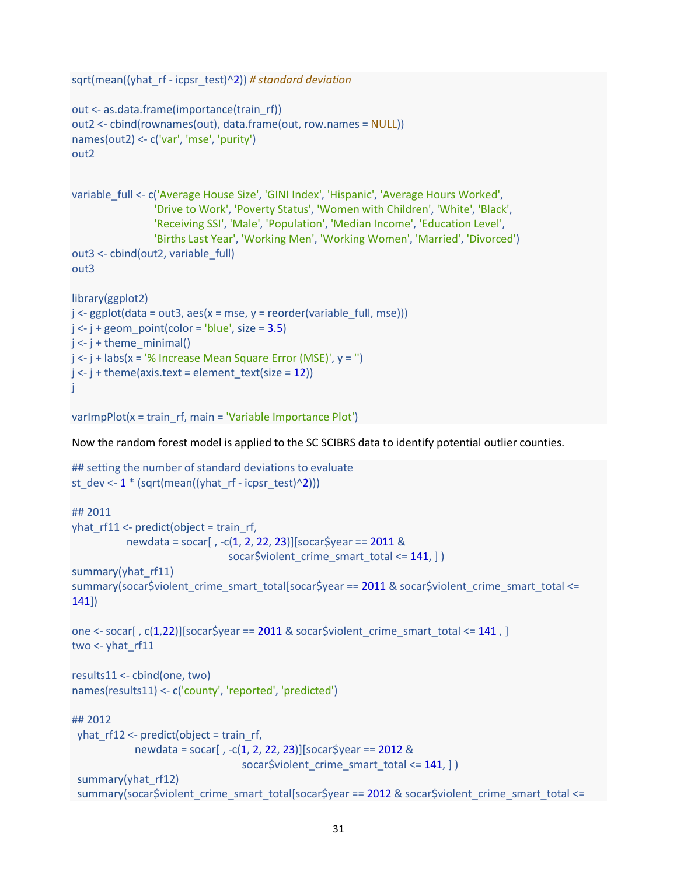```
sqrt(mean((yhat_rf - icpsr_test)^2)) # standard deviation
out <- as.data.frame(importance(train_rf))
out2 <- cbind(rownames(out), data.frame(out, row.names = NULL))
names(out2) <- c('var', 'mse', 'purity')
out2
variable_full <- c('Average House Size', 'GINI Index', 'Hispanic', 'Average Hours Worked',
                  'Drive to Work', 'Poverty Status', 'Women with Children', 'White', 'Black',
                  'Receiving SSI', 'Male', 'Population', 'Median Income', 'Education Level', 
                  'Births Last Year', 'Working Men', 'Working Women', 'Married', 'Divorced')
out3 <- cbind(out2, variable_full)
out3
library(ggplot2)
j <- ggplot(data = out3, aes(x = mse, y = reorder(variable_full, mse)))
j \le -j + geom\_point(color = 'blue', size = 3.5)j \le -j + theme minimal()
j \leq j + labs(x = '% Increase Mean Square Error (MSE)', y = ")
j \leq i + theme(axis.text = element_text(size = 12))
j
```

```
varImpPlot(x = train_rf, main = 'Variable Importance Plot')
```
Now the random forest model is applied to the SC SCIBRS data to identify potential outlier counties.

```
## setting the number of standard deviations to evaluate
st_dev <- 1 * (sqrt(mean((yhat-r - i_cps - test)^2)))## 2011
yhat rf11 <- predict(object = train_rf,
            newdata = socar[ , -c(1, 2, 22, 23)][socar$year == 2011 &
                                socar$violent_crime_smart_total <= 141, ] )
summary(yhat_rf11)
summary(socar$violent_crime_smart_total[socar$year == 2011 & socar$violent_crime_smart_total <=
141])
one <- socar[, c(1,22)][socar$year == 2011 & socar$violent_crime_smart_total <= 141, ]
two \lt- yhat rf11
results11 <- cbind(one, two)
names(results11) <- c('county', 'reported', 'predicted')
## 2012
  yhat_rf12 <- predict(object = train_rf, 
             newdata = socar[ , -c(1, 2, 22, 23)][socar$year == 2012 &
                                  socar$violent_crime_smart_total <= 141, ] )
 summary(yhat_rf12)
  summary(socar$violent_crime_smart_total[socar$year == 2012 & socar$violent_crime_smart_total <=
```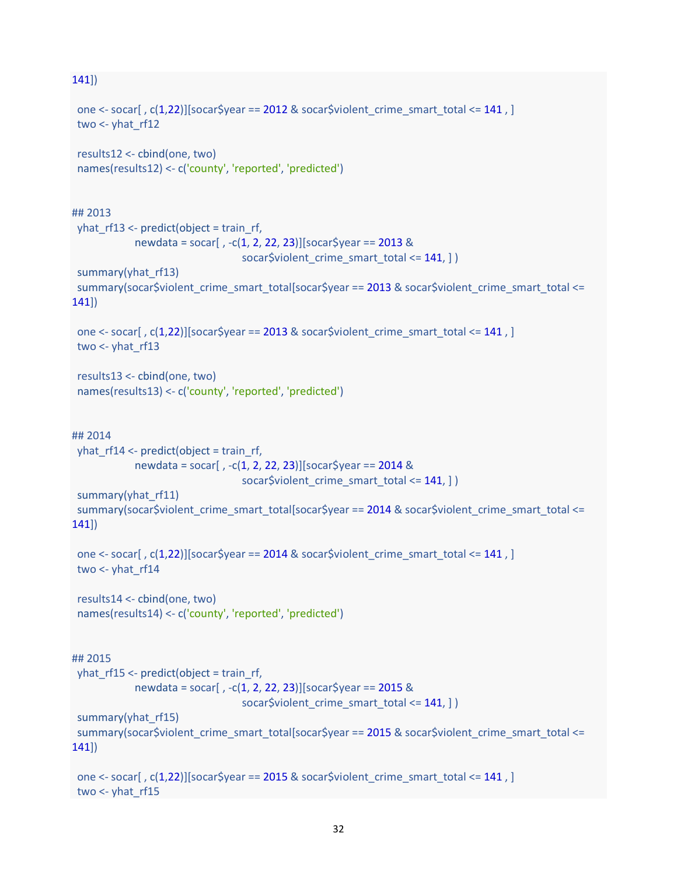#### 141])

```
one <- socar[, c(1,22)][socar$year == 2012 & socar$violent_crime_smart_total <= 141, ]
 two \leftarrow yhat rf12 results12 <- cbind(one, two)
  names(results12) <- c('county', 'reported', 'predicted')
## 2013
 yhat rf13 <- predict(object = train_rf,
             newdata = socar[ , -c(1, 2, 22, 23)][socar$year == 2013 &
                                   socar$violent_crime_smart_total <= 141, ] )
 summary(yhat_rf13)
 summary(socar$violent_crime_smart_total[socar$year == 2013 & socar$violent_crime_smart_total <=
141])
 one \le- socar[, c(1,22)][socar$year == 2013 & socar$violent_crime_smart_total \le 141, ]
  two <- yhat_rf13
  results13 <- cbind(one, two)
  names(results13) <- c('county', 'reported', 'predicted')
## 2014
 yhat rf14 < predict(object = train rf, newdata = socar[ , -c(1, 2, 22, 23)][socar$year == 2014 &
                                  socar$violent_crime_smart_total <= 141, ] )
 summary(yhat rf11)
 summary(socar$violent_crime_smart_total[socar$year == 2014 & socar$violent_crime_smart_total <=
141])
 one \le- socar[, c(1,22)][socar$year == 2014 & socar$violent_crime_smart_total \le 141, ]
  two <- yhat_rf14
  results14 <- cbind(one, two)
  names(results14) <- c('county', 'reported', 'predicted')
## 2015
 yhat rf15 <- predict(object = train_rf,
             newdata = socar[ , -c(1, 2, 22, 23)][socar$year == 2015 &
                                  socar$violent_crime_smart_total <= 141, ] )
 summary(yhat rf15)
  summary(socar$violent_crime_smart_total[socar$year == 2015 & socar$violent_crime_smart_total <=
141])
 one <- socar[, c(1,22)][socar$year == 2015 & socar$violent crime_smart_total <= 141, ]
 two \leftarrow yhat rf15
```